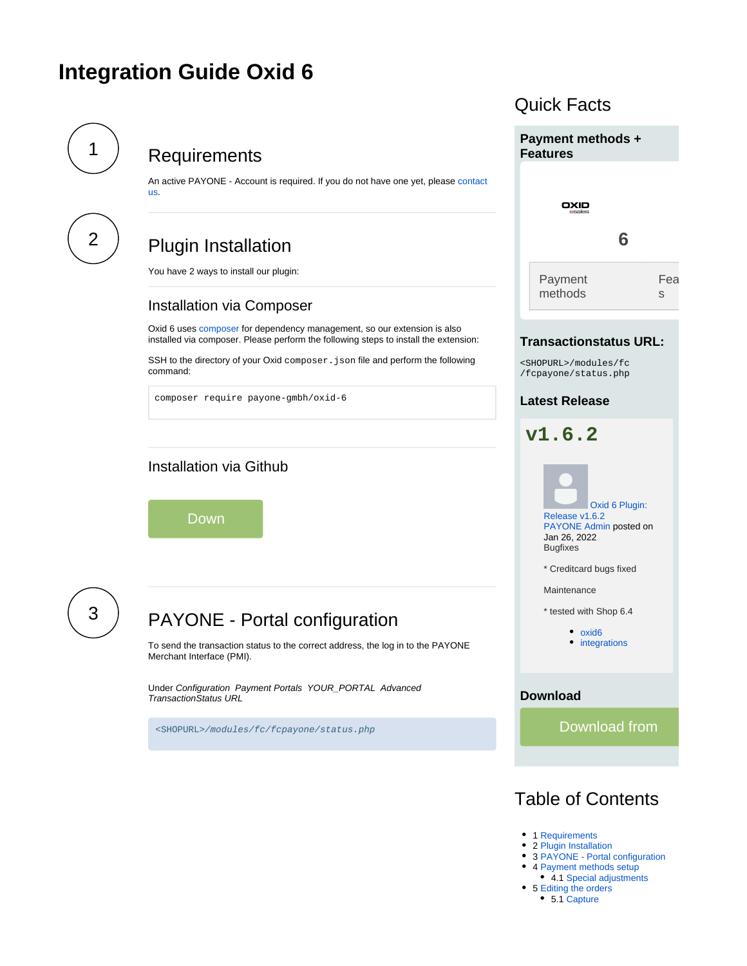# <span id="page-0-3"></span>**Integration Guide Oxid 6**

[us](https://docs.payone.com/display/PLATFORM/Contact).

<span id="page-0-0"></span>

# **Requirements**

An active PAYONE - Account is required. If you do not have one yet, please contact

<span id="page-0-1"></span>

# Plugin Installation

You have 2 ways to install our plugin:

### Installation via Composer

Oxid 6 uses [composer](https://getcomposer.org/) for dependency management, so our extension is also installed via composer. Please perform the following steps to install the extension:

SSH to the directory of your Oxid composer. json file and perform the following command:

composer require payone-gmbh/oxid-6

# Installation via Github

Down

<span id="page-0-2"></span>

| D<br>┑ |  |  |
|--------|--|--|
|        |  |  |

# PAYONE - Portal configuration

To send the transaction status to the correct address, the log in to the PAYONE Merchant Interface (PMI).

Under Configuration Payment Portals YOUR\_PORTAL Advanced TransactionStatus URL

<SHOPURL>/modules/fc/fcpayone/status.php

# Quick Facts **Payment methods + Features** OXID **6** Payment Fea methods s **Transactionstatus URL:** <SHOPURL>/modules/fc /fcpayone/status.php **Latest Release v1.6.2** [Oxid 6 Plugin:](https://docs.payone.com/display/BLOG/2022/01/26/Oxid+6+Plugin%3A+Release+v1.6.2)  [Release v1.6.2](https://docs.payone.com/display/BLOG/2022/01/26/Oxid+6+Plugin%3A+Release+v1.6.2) PAYONE Admin posted on Jan 26, 2022 **Bugfixes** \* Creditcard bugs fixed Maintenance \* tested with Shop 6.4 • [oxid6](https://docs.payone.com/label/BLOG/oxid6) • [integrations](https://docs.payone.com/label/BLOG/integrations) **Download** Download from

# Table of Contents

- 1 [Requirements](#page-0-0)
- 2 [Plugin Installation](#page-0-1)
- 3 [PAYONE Portal configuration](#page-0-2)
- 4 [Payment methods setup](#page-1-0)
- 4.1 [Special adjustments](#page-5-0)
- 5 [Editing the orders](#page-13-0) • 5.1 [Capture](#page-13-1)
	-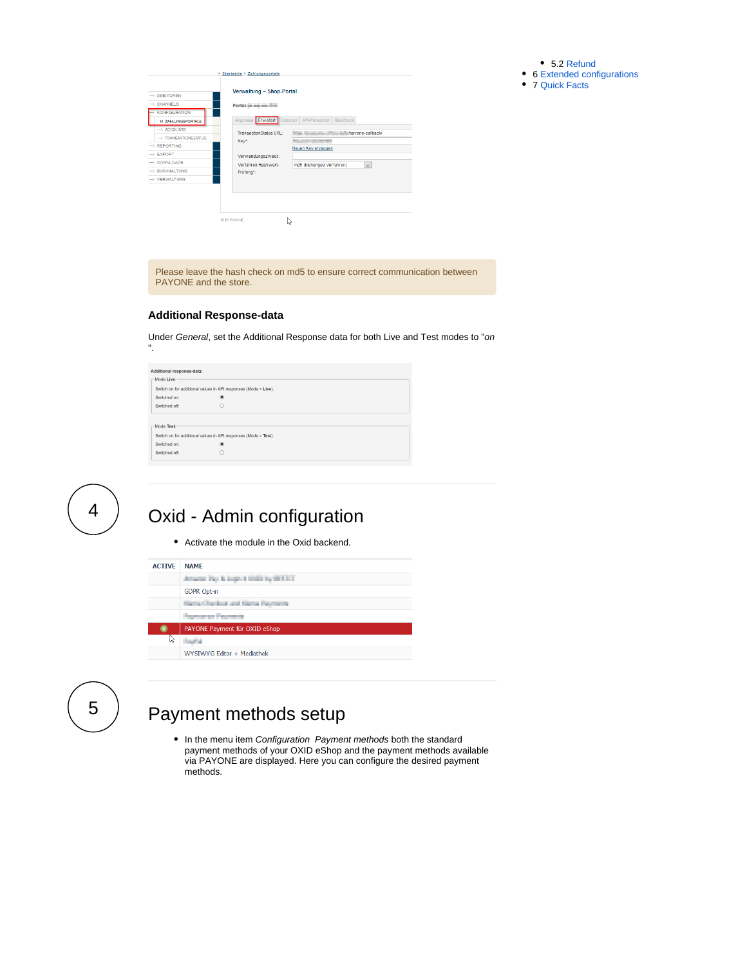5.2 [Refund](#page-13-2)

- 6 [Extended configurations](#page-13-3)
- 7 [Quick Facts](#page-0-3)

| $\rightarrow$ CHANNELS           |                              |                                      |
|----------------------------------|------------------------------|--------------------------------------|
|                                  | Portal: $=$ $=$ $=$ $=$      |                                      |
| $\rightarrow$ KONFIGURATION      |                              |                                      |
| <b>D ZAHLUNGSPORTALE</b>         | Allgemein Erweitert Optionen | API-Parameter<br><b>Riskcheck</b>    |
| $\rightarrow$ ACCOUNTS           | TransactionStatus URL:       | payone-calback/                      |
| $\rightarrow$ TRANSAKTIONSSTATUS | Key*:                        |                                      |
|                                  |                              | Neuen Key erzeugen                   |
|                                  | Verwendungszweck:            |                                      |
| $\rightarrow$ DOWNLOADS          | Verfahren Hashwert-          | md5 (bisheriges Verfahren)<br>$\sim$ |
| $\rightarrow$ BUCHHALTUNG        | Prüfung*:                    |                                      |
| $\rightarrow$ VERWALTUNG         |                              |                                      |

Please leave the hash check on md5 to ensure correct communication between PAYONE and the store.

#### **Additional Response-data**

Under General, set the Additional Response data for both Live and Test modes to "on ".



4

# Oxid - Admin configuration

Activate the module in the Oxid backend.

#### **ACTIVE NAME**

|    | denotes they below to think by the ACT |
|----|----------------------------------------|
|    | <b>GDPR Opt-in</b>                     |
|    | Herschedules and Netta Permany         |
|    | <b>Payment of Peyments</b>             |
|    | PAYONE Payment für OXID eShop          |
| ΝĄ | <b>Suite</b>                           |
|    | WYSIWYG Editor + Mediathek             |
|    |                                        |

<span id="page-1-0"></span>5

# Payment methods setup

• In the menu item Configuration Payment methods both the standard payment methods of your OXID eShop and the payment methods available via PAYONE are displayed. Here you can configure the desired payment methods.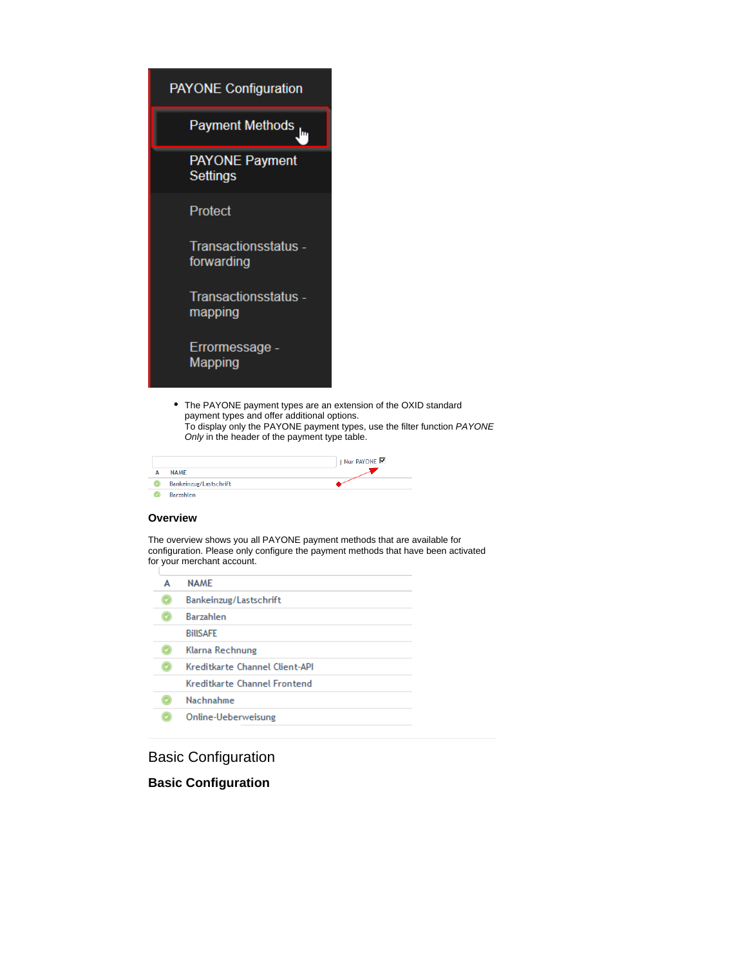| <b>PAYONE Configuration</b>                                                                                                                                    |                                                                          |
|----------------------------------------------------------------------------------------------------------------------------------------------------------------|--------------------------------------------------------------------------|
| <b>Payment Methods</b>                                                                                                                                         |                                                                          |
| <b>PAYONE Payment</b><br>Settings                                                                                                                              |                                                                          |
| Protect                                                                                                                                                        |                                                                          |
| Transactionsstatus -<br>forwarding                                                                                                                             |                                                                          |
| Transactionsstatus -<br>mapping                                                                                                                                |                                                                          |
| Errormessage -<br>Mapping                                                                                                                                      |                                                                          |
| The PAYONE payment types are an extension of the OXID standard<br>payment types and offer additional options.<br>Only in the header of the payment type table. | To display only the PAYONE payment types, use the filter function PAYONE |

| <b>NAME</b>            | I Nur PAYONE |
|------------------------|--------------|
| Bankeinzug/Lastschrift |              |
| <b>Rarzablen</b>       |              |

#### **Overview**

The overview shows you all PAYONE payment methods that are available for configuration. Please only configure the payment methods that have been activated for your merchant account.

| <b>NAMF</b>                    |
|--------------------------------|
| Bankeinzug/Lastschrift         |
| <b>Barzahlen</b>               |
| <b>BillSAFF</b>                |
| Klarna Rechnung                |
| Kreditkarte Channel Client-API |
| Kreditkarte Channel Frontend   |
| Nachnahme                      |
| Online-Ueberweisung            |
|                                |

Basic Configuration

**Basic Configuration**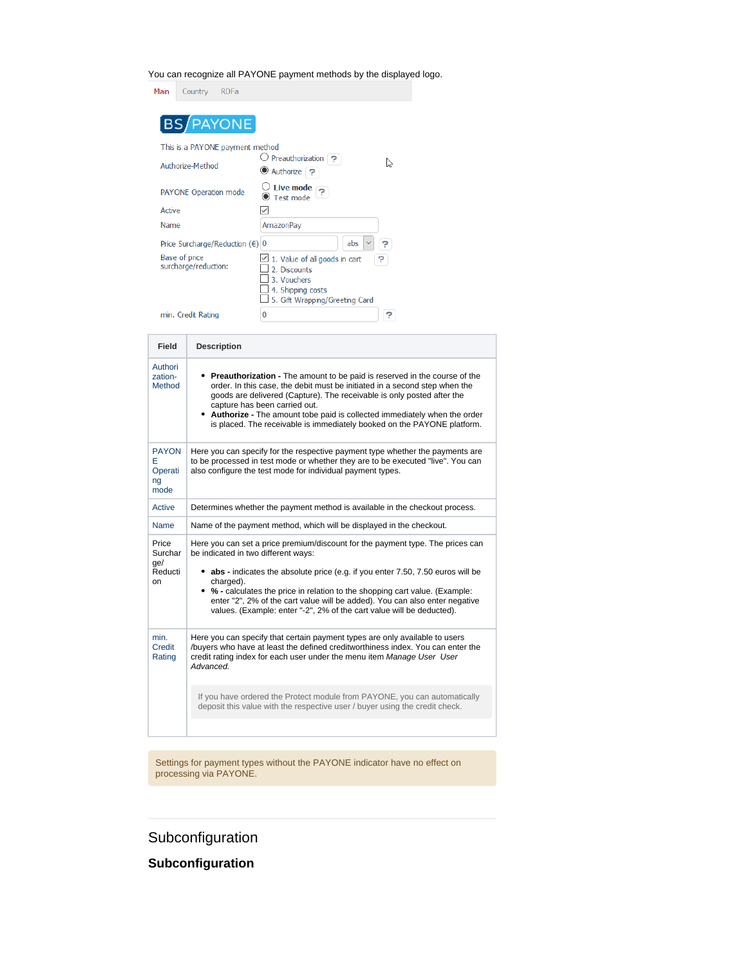You can recognize all PAYONE payment methods by the displayed logo.

| Main   | Country                                                                           | <b>RDFa</b> |                                                                                                   |        |
|--------|-----------------------------------------------------------------------------------|-------------|---------------------------------------------------------------------------------------------------|--------|
|        | BS/PAYONE                                                                         |             |                                                                                                   |        |
|        | This is a PAYONE payment method<br>Authorize-Method                               |             | $\cup$ Preauthorization $\heartsuit$<br>● Authorize ?                                             |        |
|        | <b>PAYONE Operation mode</b>                                                      |             | Live mode<br>$\bullet$ Test mode                                                                  |        |
| Active |                                                                                   |             |                                                                                                   |        |
| Name   |                                                                                   |             | AmazonPay                                                                                         |        |
|        | Price Surcharge/Reduction $(\epsilon)$ 0<br>Base of price<br>surcharge/reduction: |             | abs<br>$\angle$ 1. Value of all goods in cart<br>2. Discounts<br>3. Vouchers<br>4. Shipping costs | P<br>P |
|        | min. Credit Rating                                                                |             | 5. Gift Wrapping/Greeting Card<br>$\Omega$                                                        | 7      |

| <b>Field</b>                               | <b>Description</b>                                                                                                                                                                                                                                                                                                                                                                                                                                           |
|--------------------------------------------|--------------------------------------------------------------------------------------------------------------------------------------------------------------------------------------------------------------------------------------------------------------------------------------------------------------------------------------------------------------------------------------------------------------------------------------------------------------|
| Authori<br>zation-<br>Method               | • Preauthorization - The amount to be paid is reserved in the course of the<br>order. In this case, the debit must be initiated in a second step when the<br>goods are delivered (Capture). The receivable is only posted after the<br>capture has been carried out.<br>• Authorize - The amount tobe paid is collected immediately when the order<br>is placed. The receivable is immediately booked on the PAYONE platform.                                |
| <b>PAYON</b><br>F<br>Operati<br>ng<br>mode | Here you can specify for the respective payment type whether the payments are<br>to be processed in test mode or whether they are to be executed "live". You can<br>also configure the test mode for individual payment types.                                                                                                                                                                                                                               |
| Active                                     | Determines whether the payment method is available in the checkout process.                                                                                                                                                                                                                                                                                                                                                                                  |
| <b>Name</b>                                | Name of the payment method, which will be displayed in the checkout.                                                                                                                                                                                                                                                                                                                                                                                         |
| Price<br>Surchar<br>qe/<br>Reducti<br>on   | Here you can set a price premium/discount for the payment type. The prices can<br>be indicated in two different ways:<br>abs - indicates the absolute price (e.g. if you enter 7.50, 7.50 euros will be<br>charged).<br>• % - calculates the price in relation to the shopping cart value. (Example:<br>enter "2", 2% of the cart value will be added). You can also enter negative<br>values. (Example: enter "-2", 2% of the cart value will be deducted). |
| min.<br>Credit<br>Rating                   | Here you can specify that certain payment types are only available to users<br>/buyers who have at least the defined creditworthiness index. You can enter the<br>credit rating index for each user under the menu item Manage User User<br>Advanced.                                                                                                                                                                                                        |
|                                            | If you have ordered the Protect module from PAYONE, you can automatically<br>deposit this value with the respective user / buyer using the credit check.                                                                                                                                                                                                                                                                                                     |
|                                            |                                                                                                                                                                                                                                                                                                                                                                                                                                                              |

Settings for payment types without the PAYONE indicator have no effect on processing via PAYONE.

# **Subconfiguration**

**Subconfiguration**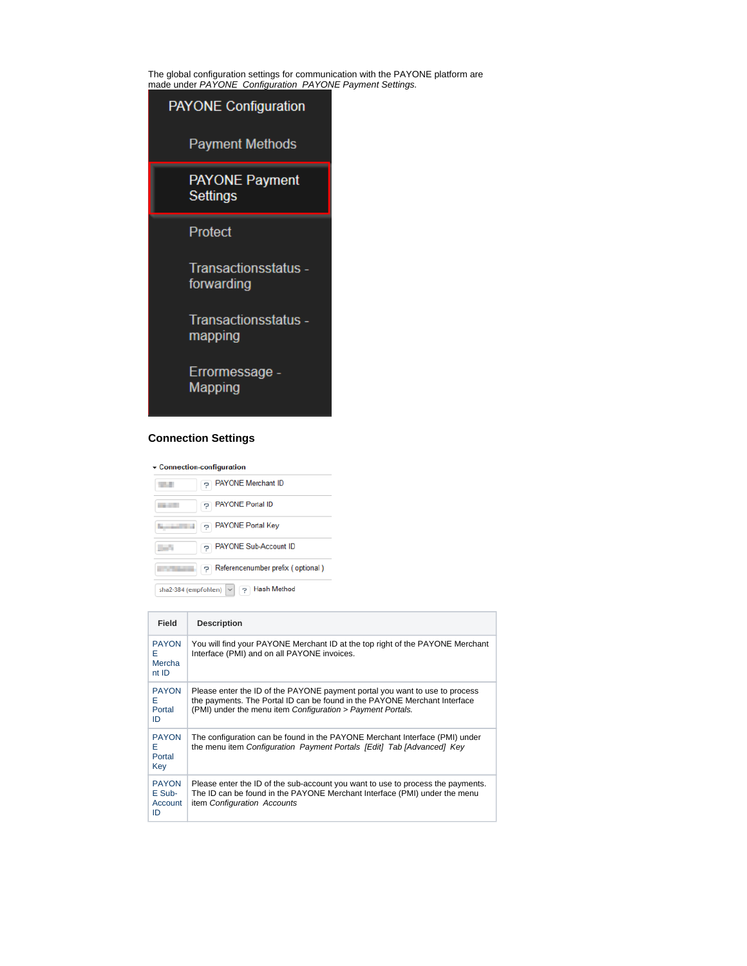The global configuration settings for communication with the PAYONE platform are made under PAYONE Configuration PAYONE Payment Settings.



#### **Connection Settings**

|  | $\overline{\phantom{a}}$ Connection-configuration |  |
|--|---------------------------------------------------|--|
|--|---------------------------------------------------|--|

| PAYONE Merchant ID                                         |
|------------------------------------------------------------|
| p PAYONE Portal ID<br>--                                   |
| PAYONE Portal Key                                          |
| PAYONE Sub-Account ID                                      |
| P Referencenumber prefix (optional)                        |
| <b>Hash Method</b><br>sha2-384 (empfohlen)<br>$\checkmark$ |

**Field Description** PAYON E Mercha nt ID You will find your PAYONE Merchant ID at the top right of the PAYONE Merchant Interface (PMI) and on all PAYONE invoices. PAYON E Portal ID Please enter the ID of the PAYONE payment portal you want to use to process the payments. The Portal ID can be found in the PAYONE Merchant Interface<br>(PMI) under the menu item *Configuration > Payment Portals.* PAYON E Portal Key The configuration can be found in the PAYONE Merchant Interface (PMI) under the menu item Configuration Payment Portals [Edit] Tab [Advanced] Key PAYON E Sub-Account  $\overline{1}$ Please enter the ID of the sub-account you want to use to process the payments. The ID can be found in the PAYONE Merchant Interface (PMI) under the menu item Configuration Accounts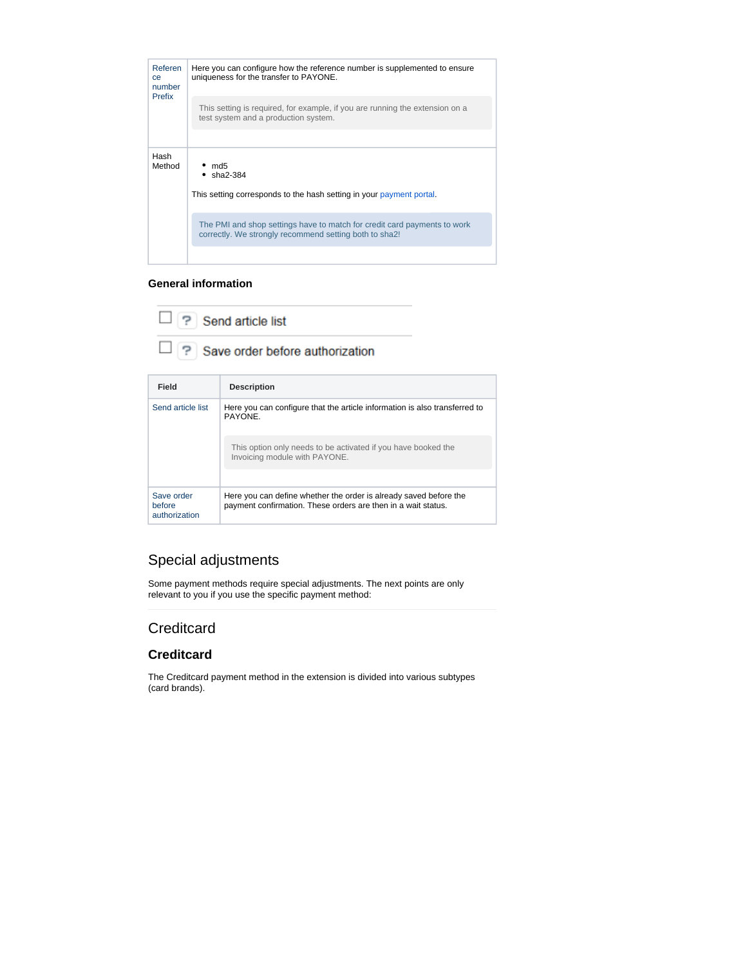

#### **General information**

| $\Box$ ? Send article list               |
|------------------------------------------|
| $\Box$ ? Save order before authorization |

| Field                                 | <b>Description</b>                                                                                                                 |
|---------------------------------------|------------------------------------------------------------------------------------------------------------------------------------|
| Send article list                     | Here you can configure that the article information is also transferred to<br>PAYONE.                                              |
|                                       | This option only needs to be activated if you have booked the<br>Invoicing module with PAYONE.                                     |
|                                       |                                                                                                                                    |
| Save order<br>before<br>authorization | Here you can define whether the order is already saved before the<br>payment confirmation. These orders are then in a wait status. |

# <span id="page-5-0"></span>Special adjustments

Some payment methods require special adjustments. The next points are only relevant to you if you use the specific payment method:

### **Creditcard**

### **Creditcard**

The Creditcard payment method in the extension is divided into various subtypes (card brands).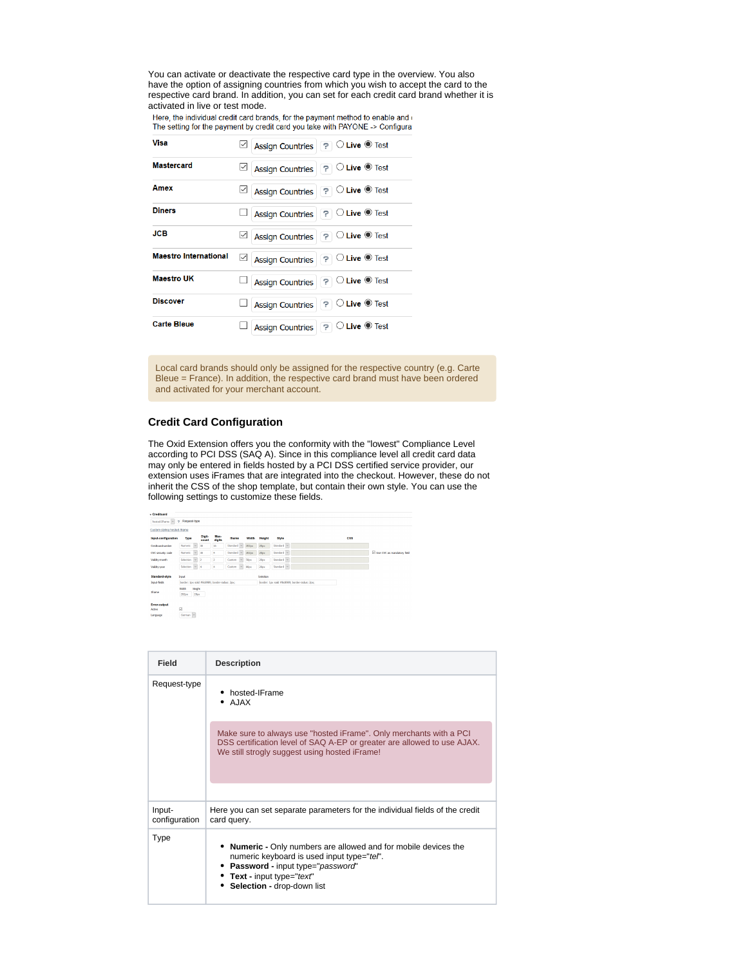You can activate or deactivate the respective card type in the overview. You also have the option of assigning countries from which you wish to accept the card to the respective card brand. In addition, you can set for each credit card brand whether it is activated in live or test mode.<br>Here, the individual credit card brands, for the payment method to enable and our

The setting for the payment by credit card you take with PAYONE -> Configura

| Visa                         | Assign Countries ? C Live C Test                            |
|------------------------------|-------------------------------------------------------------|
| <b>Mastercard</b>            | <b>POLive OF</b> Test<br>⊻<br><b>Assign Countries</b>       |
| Amex                         | Assign Countries ? O Live Test<br>⊻                         |
| <b>Diners</b>                | Assign Countries ? O Live Test                              |
| JCB                          | Assign Countries ? O Live O Test<br>$\mid\!\!\prec\!\!\mid$ |
| <b>Maestro International</b> | Assign Countries ? O Live @ Test<br>$\vee$                  |
| <b>Maestro UK</b>            | Assign Countries ? O Live Test                              |
| <b>Discover</b>              | <b>POLive OF</b> Test<br><b>Assign Countries</b>            |
| <b>Carte Bleue</b>           | <b>POLive OF</b> Test<br><b>Assign Countries</b>            |

Local card brands should only be assigned for the respective country (e.g. Carte Bleue = France). In addition, the respective card brand must have been ordered and activated for your merchant account.

#### **Credit Card Configuration**

The Oxid Extension offers you the conformity with the "lowest" Compliance Level according to PCI DSS (SAQ A). Since in this compliance level all credit card data may only be entered in fields hosted by a PCI DSS certified service provider, our extension uses iFrames that are integrated into the checkout. However, these do not inherit the CSS of the shop template, but contain their own style. You can use the following settings to customize these fields.



| Field                   | <b>Description</b>                                                                                                                                                                                                 |  |  |  |
|-------------------------|--------------------------------------------------------------------------------------------------------------------------------------------------------------------------------------------------------------------|--|--|--|
| Request-type            | hosted-IFrame<br>AJAX                                                                                                                                                                                              |  |  |  |
|                         | Make sure to always use "hosted iFrame". Only merchants with a PCI<br>DSS certification level of SAQ A-EP or greater are allowed to use AJAX.<br>We still strogly suggest using hosted iFrame!                     |  |  |  |
|                         |                                                                                                                                                                                                                    |  |  |  |
| Input-<br>configuration | Here you can set separate parameters for the individual fields of the credit<br>card query.                                                                                                                        |  |  |  |
| <b>Type</b>             | <b>Numeric -</b> Only numbers are allowed and for mobile devices the<br>numeric keyboard is used input type="tel".<br>Password - input type="password"<br>• Text - input type="text"<br>Selection - drop-down list |  |  |  |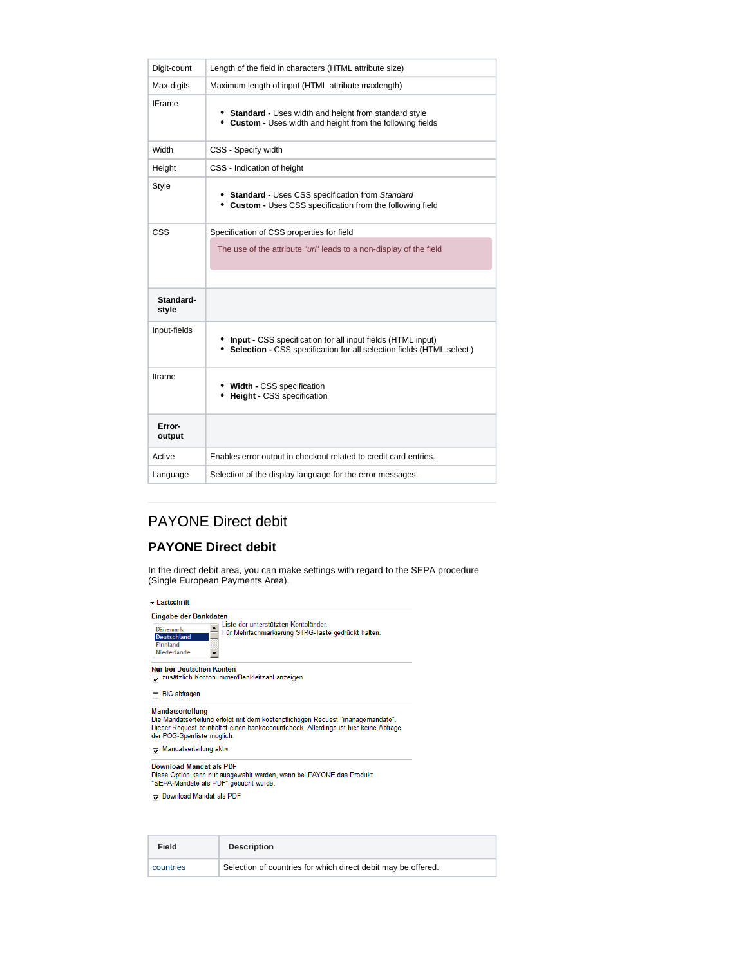| Digit-count<br>Length of the field in characters (HTML attribute size)<br>Maximum length of input (HTML attribute maxlength)<br>Max-digits<br><b>IFrame</b><br>• Standard - Uses width and height from standard style<br>• Custom - Uses width and height from the following fields<br>Width<br>CSS - Specify width<br>CSS - Indication of height<br>Height<br><b>Style</b><br>• Standard - Uses CSS specification from Standard<br>• Custom - Uses CSS specification from the following field<br><b>CSS</b><br>Specification of CSS properties for field<br>The use of the attribute "url" leads to a non-display of the field<br>Standard-<br>style<br>Input-fields<br>• Input - CSS specification for all input fields (HTML input)<br>• Selection - CSS specification for all selection fields (HTML select)<br><b>Iframe</b><br>• Width - CSS specification<br>• Height - CSS specification<br>Error-<br>output<br>Enables error output in checkout related to credit card entries.<br>Active<br>Selection of the display language for the error messages.<br>Language |  |  |  |
|-----------------------------------------------------------------------------------------------------------------------------------------------------------------------------------------------------------------------------------------------------------------------------------------------------------------------------------------------------------------------------------------------------------------------------------------------------------------------------------------------------------------------------------------------------------------------------------------------------------------------------------------------------------------------------------------------------------------------------------------------------------------------------------------------------------------------------------------------------------------------------------------------------------------------------------------------------------------------------------------------------------------------------------------------------------------------------|--|--|--|
|                                                                                                                                                                                                                                                                                                                                                                                                                                                                                                                                                                                                                                                                                                                                                                                                                                                                                                                                                                                                                                                                             |  |  |  |
|                                                                                                                                                                                                                                                                                                                                                                                                                                                                                                                                                                                                                                                                                                                                                                                                                                                                                                                                                                                                                                                                             |  |  |  |
|                                                                                                                                                                                                                                                                                                                                                                                                                                                                                                                                                                                                                                                                                                                                                                                                                                                                                                                                                                                                                                                                             |  |  |  |
|                                                                                                                                                                                                                                                                                                                                                                                                                                                                                                                                                                                                                                                                                                                                                                                                                                                                                                                                                                                                                                                                             |  |  |  |
|                                                                                                                                                                                                                                                                                                                                                                                                                                                                                                                                                                                                                                                                                                                                                                                                                                                                                                                                                                                                                                                                             |  |  |  |
|                                                                                                                                                                                                                                                                                                                                                                                                                                                                                                                                                                                                                                                                                                                                                                                                                                                                                                                                                                                                                                                                             |  |  |  |
|                                                                                                                                                                                                                                                                                                                                                                                                                                                                                                                                                                                                                                                                                                                                                                                                                                                                                                                                                                                                                                                                             |  |  |  |
|                                                                                                                                                                                                                                                                                                                                                                                                                                                                                                                                                                                                                                                                                                                                                                                                                                                                                                                                                                                                                                                                             |  |  |  |
|                                                                                                                                                                                                                                                                                                                                                                                                                                                                                                                                                                                                                                                                                                                                                                                                                                                                                                                                                                                                                                                                             |  |  |  |
|                                                                                                                                                                                                                                                                                                                                                                                                                                                                                                                                                                                                                                                                                                                                                                                                                                                                                                                                                                                                                                                                             |  |  |  |
|                                                                                                                                                                                                                                                                                                                                                                                                                                                                                                                                                                                                                                                                                                                                                                                                                                                                                                                                                                                                                                                                             |  |  |  |
|                                                                                                                                                                                                                                                                                                                                                                                                                                                                                                                                                                                                                                                                                                                                                                                                                                                                                                                                                                                                                                                                             |  |  |  |
|                                                                                                                                                                                                                                                                                                                                                                                                                                                                                                                                                                                                                                                                                                                                                                                                                                                                                                                                                                                                                                                                             |  |  |  |
|                                                                                                                                                                                                                                                                                                                                                                                                                                                                                                                                                                                                                                                                                                                                                                                                                                                                                                                                                                                                                                                                             |  |  |  |
|                                                                                                                                                                                                                                                                                                                                                                                                                                                                                                                                                                                                                                                                                                                                                                                                                                                                                                                                                                                                                                                                             |  |  |  |

# PAYONE Direct debit

### **PAYONE Direct debit**

In the direct debit area, you can make settings with regard to the SEPA procedure (Single European Payments Area).

| - Lastschrift                                          |                                                                                                                                                                        |  |  |  |
|--------------------------------------------------------|------------------------------------------------------------------------------------------------------------------------------------------------------------------------|--|--|--|
| Eingabe der Bankdaten                                  |                                                                                                                                                                        |  |  |  |
| Dänemark<br>Deutschland<br>Finnland<br>Niederlande     | Liste der unterstützten Kontoländer.<br>Für Mehrfachmarkierung STRG-Taste gedrückt halten.                                                                             |  |  |  |
| Nur bei Deutschen Konten                               | zusätzlich Kontonummer/Bankleitzahl anzeigen                                                                                                                           |  |  |  |
| <b>BIC</b> abfragen                                    |                                                                                                                                                                        |  |  |  |
| <b>Mandatserteilung</b><br>der POS-Sperrliste möglich. | Die Mandatserteilung erfolgt mit dem kostenpflichtigen Reguest "managemandate".<br>Dieser Request beinhaltet einen bankaccountcheck. Allerdings ist hier keine Abfrage |  |  |  |

Mandatserteilung aktiv

Download Mandat als PDF<br>Diese Option kann nur ausgewählt werden, wenn bei PAYONE das Produkt<br>"SEPA-Mandate als PDF" gebucht wurde.

Download Mandat als PDF

| Field     | <b>Description</b>                                            |
|-----------|---------------------------------------------------------------|
| countries | Selection of countries for which direct debit may be offered. |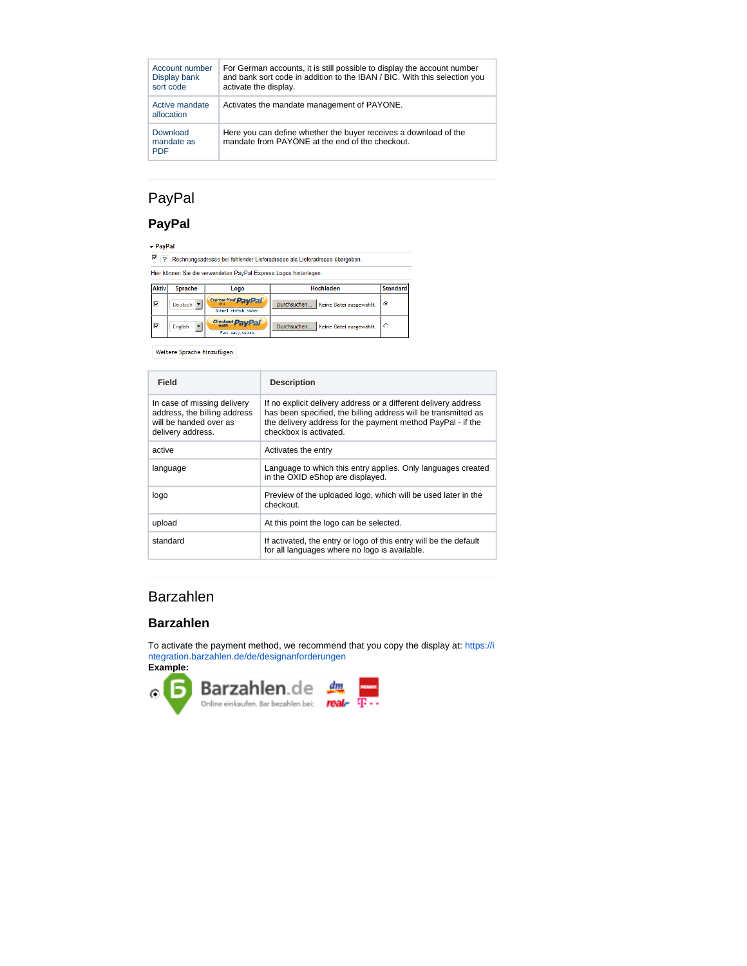| Account number<br>Display bank<br>sort code | For German accounts, it is still possible to display the account number<br>and bank sort code in addition to the IBAN / BIC. With this selection you<br>activate the display. |
|---------------------------------------------|-------------------------------------------------------------------------------------------------------------------------------------------------------------------------------|
| Active mandate<br>allocation                | Activates the mandate management of PAYONE.                                                                                                                                   |
| Download<br>mandate as<br><b>PDF</b>        | Here you can define whether the buyer receives a download of the<br>mandate from PAYONE at the end of the checkout.                                                           |

# PayPal

# **PayPal**

- PayPal

 $\boxed{?}$  Rechnungsadresse bei fehlender Lieferadresse als Lieferadresse übergeben. Hier können Sie die verwendeten PayPal Express Logos hinterlegen.

| Aktiv | Sprache        | Logo                                                   | Hochladen                               | <b>Standard</b> |
|-------|----------------|--------------------------------------------------------|-----------------------------------------|-----------------|
| ∣⊽    | Deutsch        | <b>Express-Kauf PayPal</b><br>Schnell, einfach, sicher | Keine Datei ausgewählt.<br>Durchsuchen. | $\epsilon$      |
| ا ⊽   | <b>English</b> | Checkout PayPal<br>Fast, easy, secure.                 | Durchsuchen.<br>Keine Datei ausgewählt. |                 |

Weitere Sprache hinzufügen

| Field                                                                                                      | <b>Description</b>                                                                                                                                                                                                         |
|------------------------------------------------------------------------------------------------------------|----------------------------------------------------------------------------------------------------------------------------------------------------------------------------------------------------------------------------|
| In case of missing delivery<br>address, the billing address<br>will be handed over as<br>delivery address. | If no explicit delivery address or a different delivery address<br>has been specified, the billing address will be transmitted as<br>the delivery address for the payment method PayPal - if the<br>checkbox is activated. |
| active                                                                                                     | Activates the entry                                                                                                                                                                                                        |
| language                                                                                                   | Language to which this entry applies. Only languages created<br>in the OXID eShop are displayed.                                                                                                                           |
| logo                                                                                                       | Preview of the uploaded logo, which will be used later in the<br>checkout.                                                                                                                                                 |
| upload                                                                                                     | At this point the logo can be selected.                                                                                                                                                                                    |
| standard                                                                                                   | If activated, the entry or logo of this entry will be the default<br>for all languages where no logo is available.                                                                                                         |

# Barzahlen

#### **Barzahlen**

To activate the payment method, we recommend that you copy the display at: [https://i](https://integration.barzahlen.de/de/designanforderungen) [ntegration.barzahlen.de/de/designanforderungen](https://integration.barzahlen.de/de/designanforderungen) **Example:**

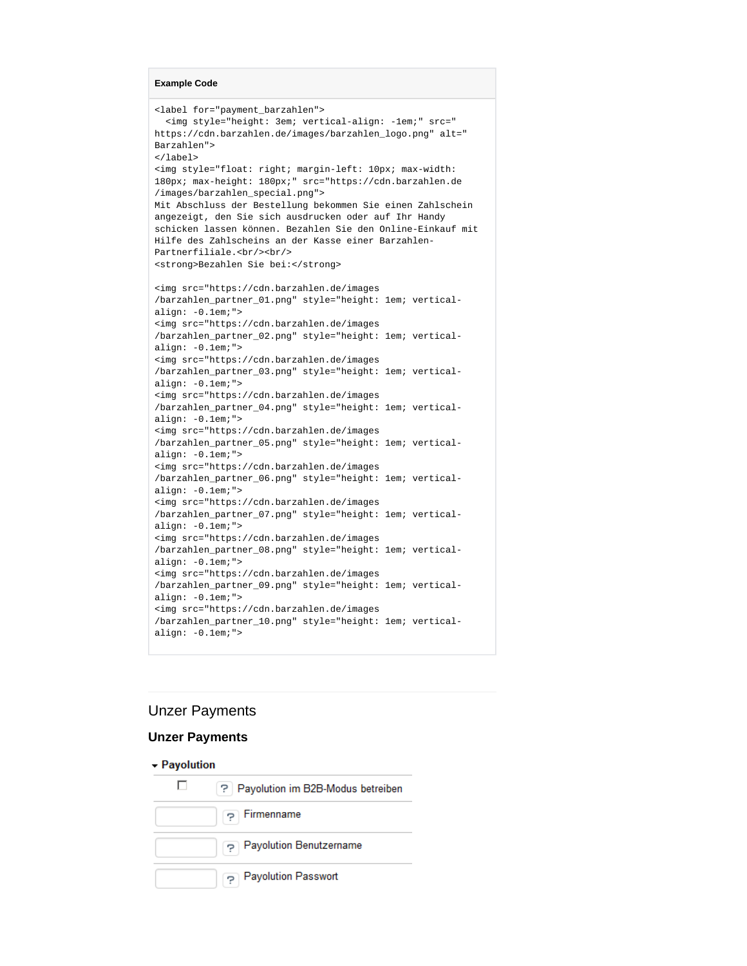```
Example Code
```

```
<label for="payment_barzahlen">
   <img style="height: 3em; vertical-align: -1em;" src="
https://cdn.barzahlen.de/images/barzahlen_logo.png" alt="
Barzahlen">
</label>
<img style="float: right; margin-left: 10px; max-width: 
180px; max-height: 180px;" src="https://cdn.barzahlen.de
/images/barzahlen_special.png">
Mit Abschluss der Bestellung bekommen Sie einen Zahlschein 
angezeigt, den Sie sich ausdrucken oder auf Ihr Handy 
schicken lassen können. Bezahlen Sie den Online-Einkauf mit 
Hilfe des Zahlscheins an der Kasse einer Barzahlen-
Partnerfiliale.<br/><br/>
<strong>Bezahlen Sie bei:</strong>
<img src="https://cdn.barzahlen.de/images
/barzahlen_partner_01.png" style="height: 1em; vertical-
align: -0.1em;">
<img src="https://cdn.barzahlen.de/images
/barzahlen_partner_02.png" style="height: 1em; vertical-
align: -0.1em;">
<img src="https://cdn.barzahlen.de/images
/barzahlen_partner_03.png" style="height: 1em; vertical-
align: -0.1em;">
<img src="https://cdn.barzahlen.de/images
/barzahlen_partner_04.png" style="height: 1em; vertical-
align: -0.1em;">
<img src="https://cdn.barzahlen.de/images
/barzahlen_partner_05.png" style="height: 1em; vertical-
align: -0.1em;">
<img src="https://cdn.barzahlen.de/images
/barzahlen_partner_06.png" style="height: 1em; vertical-
align: -0.1em;">
<img src="https://cdn.barzahlen.de/images
/barzahlen_partner_07.png" style="height: 1em; vertical-
align: -0.1em;">
<img src="https://cdn.barzahlen.de/images
/barzahlen_partner_08.png" style="height: 1em; vertical-
align: -0.1em;">
<img src="https://cdn.barzahlen.de/images
/barzahlen_partner_09.png" style="height: 1em; vertical-
align: -0.1em;">
<img src="https://cdn.barzahlen.de/images
/barzahlen_partner_10.png" style="height: 1em; vertical-
align: -0.1em;">
```
### Unzer Payments

#### **Unzer Payments**

#### - Payolution

| ? Payolution im B2B-Modus betreiben |
|-------------------------------------|
| ှာ Firmenname                       |
| Payolution Benutzername             |
| <b>Payolution Passwort</b>          |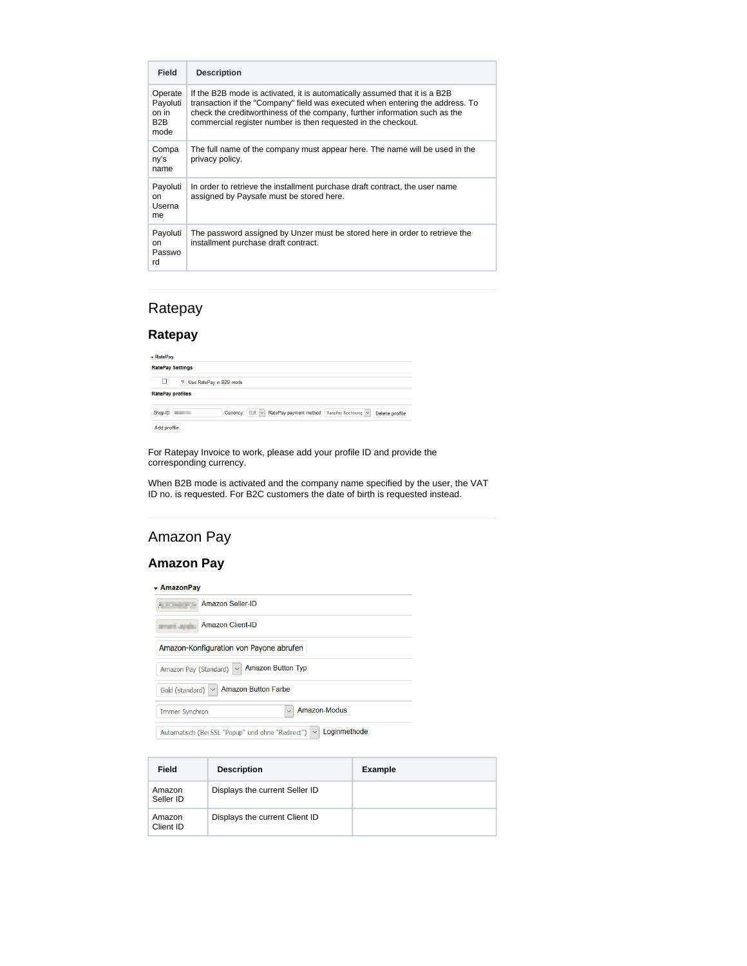| Field                                       | <b>Description</b>                                                                                                                                                                                                                                                                                         |
|---------------------------------------------|------------------------------------------------------------------------------------------------------------------------------------------------------------------------------------------------------------------------------------------------------------------------------------------------------------|
| Operate<br>Payoluti<br>on in<br>B2B<br>mode | If the B2B mode is activated, it is automatically assumed that it is a B2B<br>transaction if the "Company" field was executed when entering the address. To<br>check the creditworthiness of the company, further information such as the<br>commercial register number is then requested in the checkout. |
| Compa<br>ny's<br>name                       | The full name of the company must appear here. The name will be used in the<br>privacy policy.                                                                                                                                                                                                             |
| Payoluti<br>on.<br>Userna<br>me             | In order to retrieve the installment purchase draft contract, the user name<br>assigned by Paysafe must be stored here.                                                                                                                                                                                    |
| Payoluti<br>on<br>Passwo<br>rd              | The password assigned by Unzer must be stored here in order to retrieve the<br>installment purchase draft contract.                                                                                                                                                                                        |

# Ratepay

### **Ratepay**

| - RatePay               |          |                           |                                                            |  |                |
|-------------------------|----------|---------------------------|------------------------------------------------------------|--|----------------|
| <b>RatePay Settings</b> |          |                           |                                                            |  |                |
| п                       |          | ? Use RatePay in B2B mode |                                                            |  |                |
| <b>RatePay profiles</b> |          |                           |                                                            |  |                |
|                         | Shop-ID: |                           | Currency: EUR v RatePay payment method: RatePay Rechnung v |  | Delete profile |
| Add profile             |          |                           |                                                            |  |                |

For Ratepay Invoice to work, please add your profile ID and provide the corresponding currency.

When B2B mode is activated and the company name specified by the user, the VAT ID no. is requested. For B2C customers the date of birth is requested instead.

# Amazon Pay

### **Amazon Pay**

| - AmazonPay |  |  |
|-------------|--|--|
|             |  |  |

**Amazon Seller-ID** Amazon Client-ID Amazon-Konfiguration von Payone abrufen Amazon Pay (Standard) |V | Amazon Button Typ Gold (standard) v Amazon Button Farbe  $\boxed{\smile}$  Amazon-Modus Immer Synchron

Automatisch (Bei SSL "Popup" und ohne "Redirect")  $\boxed{\vee}$  Loginmethode

| Field               | <b>Description</b>             | <b>Example</b> |
|---------------------|--------------------------------|----------------|
| Amazon<br>Seller ID | Displays the current Seller ID |                |
| Amazon<br>Client ID | Displays the current Client ID |                |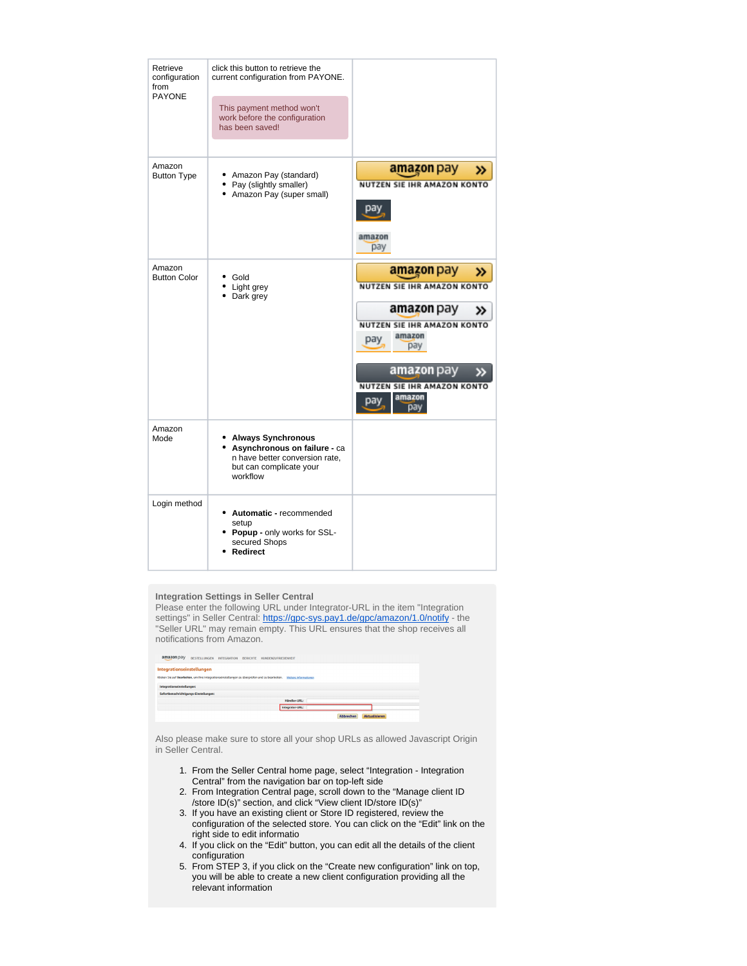| Retrieve<br>configuration<br>from<br><b>PAYONE</b> | click this button to retrieve the<br>current configuration from PAYONE.<br>This payment method won't<br>work before the configuration<br>has been saved! |                                                                                                                                                                                          |
|----------------------------------------------------|----------------------------------------------------------------------------------------------------------------------------------------------------------|------------------------------------------------------------------------------------------------------------------------------------------------------------------------------------------|
| Amazon<br><b>Button Type</b>                       | Amazon Pay (standard)<br>Pay (slightly smaller)<br>• Amazon Pay (super small)                                                                            | <b>amazon</b> pay<br>≫<br>NUTZEN SIE IHR AMAZON KONTO<br>Dа<br>amazon<br>pay                                                                                                             |
| Amazon<br><b>Button Color</b>                      | Gold<br>Light grey<br>• Dark grey                                                                                                                        | amazon pay<br>≫<br>NUTZEN SIE IHR AMAZON KONTO<br>amazon pay<br>NUTZEN SIE IHR AMAZON KONTO<br>amazon<br>pay<br>pay<br>amazon pay<br>NUTZEN SIE IHR AMAZON KONTO<br>amazon<br>раγ<br>pay |
| Amazon<br>Mode                                     | <b>Always Synchronous</b><br>Asynchronous on failure - ca<br>n have better conversion rate,<br>but can complicate your<br>workflow                       |                                                                                                                                                                                          |
| Login method                                       | Automatic - recommended<br>setup<br>• Popup - only works for SSL-<br>secured Shops<br>Redirect                                                           |                                                                                                                                                                                          |

#### **Integration Settings in Seller Central**

Please enter the following URL under Integrator-URL in the item "Integration settings" in Seller Central: <https://gpc-sys.pay1.de/gpc/amazon/1.0/notify> - the "Seller URL" may remain empty. This URL ensures that the shop receives all notifications from Amazon.

| amazon pay<br>BESTELLUNGEN INTEGRATION BERICHTE<br><b>KUNDENZUFRIEDENHEIT</b>                                           |  |  |  |  |  |
|-------------------------------------------------------------------------------------------------------------------------|--|--|--|--|--|
| Integrationseinstellungen                                                                                               |  |  |  |  |  |
| Klicken Sie auf Bearbeiten, um Ihre Integrationseinstellungen zu überprüfen und zu bearbeiten.<br>Weitere Informationen |  |  |  |  |  |
| Integrationseinstellungen:<br>Sofortbenachrichtigungs-Einstellungen:                                                    |  |  |  |  |  |
| <b>Händler-URL:</b>                                                                                                     |  |  |  |  |  |
| Integrator-URL:                                                                                                         |  |  |  |  |  |
| Abbrechen<br><b>Aktualisieren</b>                                                                                       |  |  |  |  |  |

Also please make sure to store all your shop URLs as allowed Javascript Origin in Seller Central.

- 1. From the Seller Central home page, select "Integration Integration Central" from the navigation bar on top-left side
- 2. From Integration Central page, scroll down to the "Manage client ID /store ID(s)" section, and click "View client ID/store ID(s)"
- 3. If you have an existing client or Store ID registered, review the configuration of the selected store. You can click on the "Edit" link on the right side to edit informatio
- 4. If you click on the "Edit" button, you can edit all the details of the client configuration
- 5. From STEP 3, if you click on the "Create new configuration" link on top, you will be able to create a new client configuration providing all the relevant information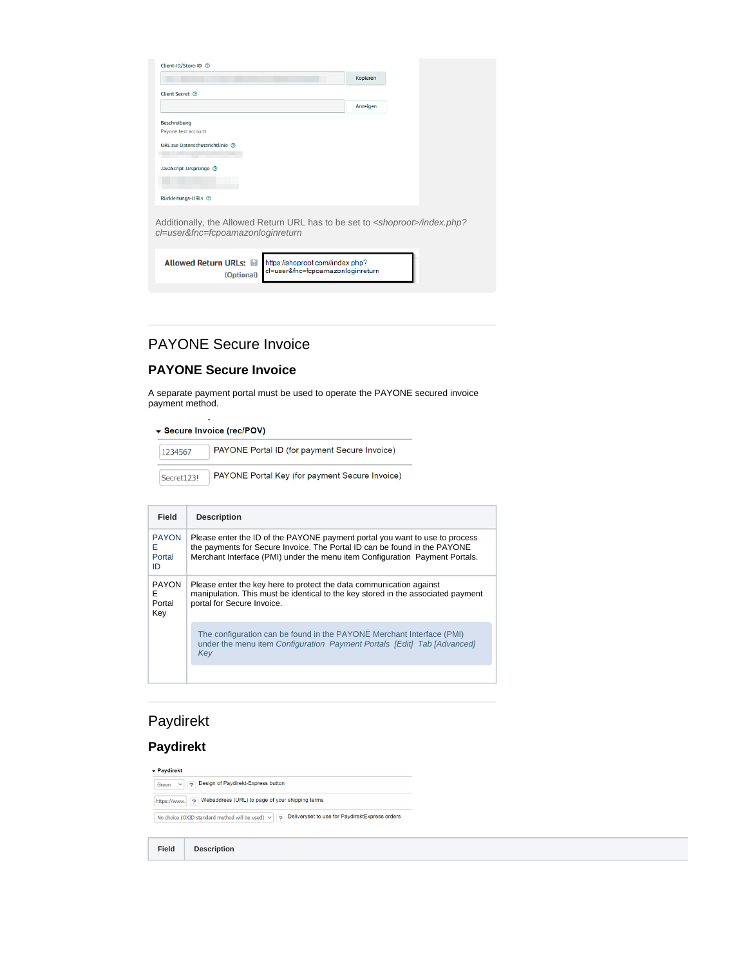| Client-ID/Store-ID 7                                                                                                             |          |  |
|----------------------------------------------------------------------------------------------------------------------------------|----------|--|
|                                                                                                                                  | Kopieren |  |
| Client Secret 2                                                                                                                  |          |  |
|                                                                                                                                  | Anzeigen |  |
| <b>Beschreibung</b>                                                                                                              |          |  |
| Payone test account                                                                                                              |          |  |
| URL zur Datenschutzrichtlinie (?)                                                                                                |          |  |
| JavaScript-Ursprünge 2                                                                                                           |          |  |
| Rückleitungs-URLs <sup>7</sup>                                                                                                   |          |  |
| Additionally, the Allowed Return URL has to be set to <shoproot>/index.php?<br/>cl=user&amp;fnc=fcpoamazonloginreturn</shoproot> |          |  |
|                                                                                                                                  |          |  |
| <b>Allowed Return URLs: 22</b><br>https://shoproot.com//index.php?<br>cl=user&fnc=fcpoamazonloginreturn<br>(Ontional)            |          |  |

# PAYONE Secure Invoice

(Optional)

### **PAYONE Secure Invoice**

A separate payment portal must be used to operate the PAYONE secured invoice payment method.

▼ Secure Invoice (rec/POV)

| 1234567    | PAYONE Portal ID (for payment Secure Invoice)  |
|------------|------------------------------------------------|
| Secret123! | PAYONE Portal Key (for payment Secure Invoice) |

| Field                               | <b>Description</b>                                                                                                                                                                                                                      |
|-------------------------------------|-----------------------------------------------------------------------------------------------------------------------------------------------------------------------------------------------------------------------------------------|
| <b>PAYON</b><br>F<br>Portal<br>ID   | Please enter the ID of the PAYONE payment portal you want to use to process<br>the payments for Secure Invoice. The Portal ID can be found in the PAYONE<br>Merchant Interface (PMI) under the menu item Configuration Payment Portals. |
| <b>PAYON</b><br>F.<br>Portal<br>Key | Please enter the key here to protect the data communication against<br>manipulation. This must be identical to the key stored in the associated payment<br>portal for Secure Invoice.                                                   |
|                                     | The configuration can be found in the PAYONE Merchant Interface (PMI)<br>under the menu item Configuration Payment Portals [Edit] Tab [Advanced]<br>Kev                                                                                 |

# Paydirekt

# **Paydirekt**

 $\star$  Paydirekt

Green v P Design of Paydirekt-Express button  $\boxed{\text{https://www.} \setminus \text{P} \quad \text{Webaddress (URL) to page of your shipping terms}}$ No choice (OXID standard method will be used) v <br>
P Deliveryset to use for PaydirektExpress orders

**Field Description**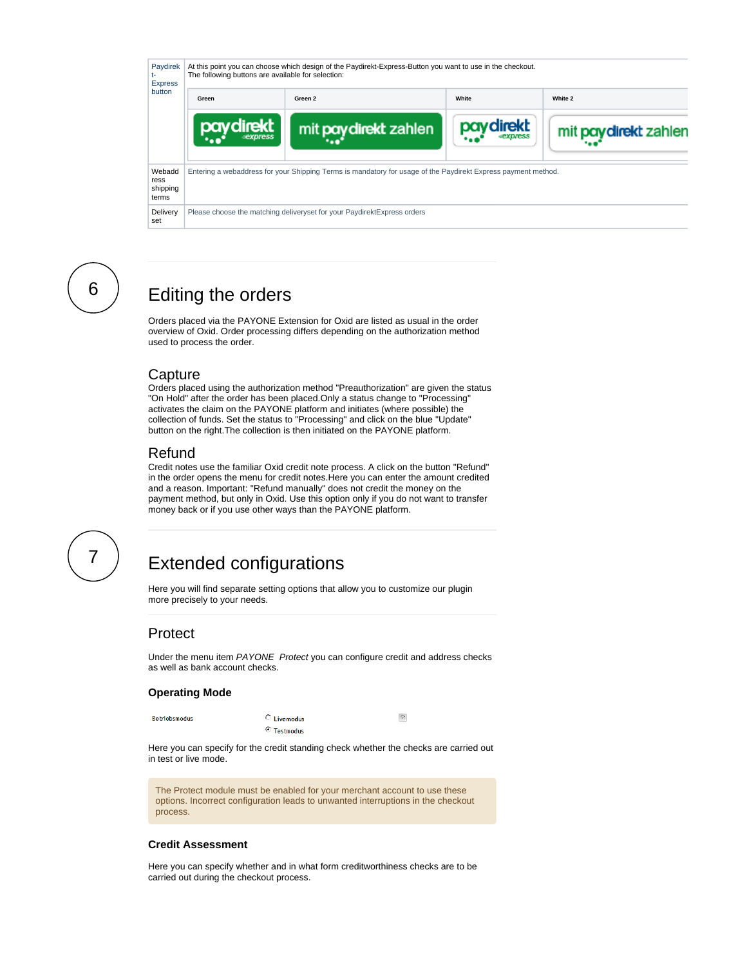

# <span id="page-13-1"></span><span id="page-13-0"></span>6

# Editing the orders

Orders placed via the PAYONE Extension for Oxid are listed as usual in the order overview of Oxid. Order processing differs depending on the authorization method used to process the order.

### **Capture**

Orders placed using the authorization method "Preauthorization" are given the status "On Hold" after the order has been placed.Only a status change to "Processing" activates the claim on the PAYONE platform and initiates (where possible) the collection of funds. Set the status to "Processing" and click on the blue "Update" button on the right.The collection is then initiated on the PAYONE platform.

### Refund

Credit notes use the familiar Oxid credit note process. A click on the button "Refund" in the order opens the menu for credit notes.Here you can enter the amount credited and a reason. Important: "Refund manually" does not credit the money on the payment method, but only in Oxid. Use this option only if you do not want to transfer money back or if you use other ways than the PAYONE platform.

<span id="page-13-3"></span><span id="page-13-2"></span>

# Extended configurations

Here you will find separate setting options that allow you to customize our plugin more precisely to your needs.

## Protect

Under the menu item PAYONE Protect you can configure credit and address checks as well as bank account checks.

#### **Operating Mode**

```
Betriebsmodus
```
C Livemodus  $\odot$  Testmodus  $\overline{\mathcal{E}}$ 

Here you can specify for the credit standing check whether the checks are carried out in test or live mode.

The Protect module must be enabled for your merchant account to use these options. Incorrect configuration leads to unwanted interruptions in the checkout process.

#### **Credit Assessment**

Here you can specify whether and in what form creditworthiness checks are to be carried out during the checkout process.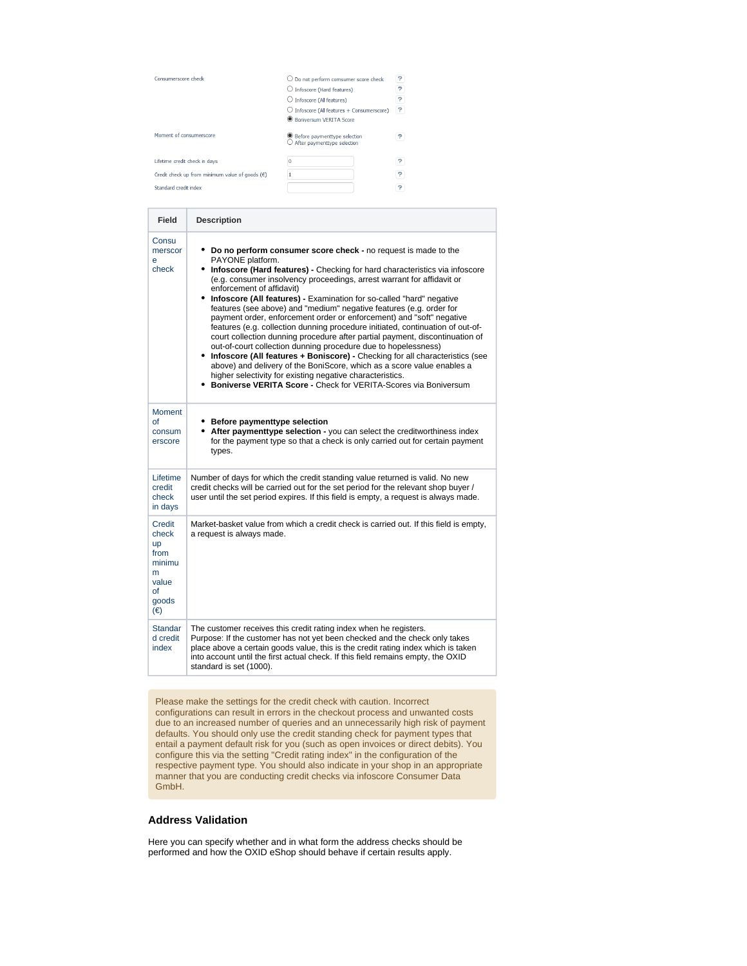| Consumerscore check                                      | $\bigcirc$ Do not perform comsumer score check<br>$\bigcirc$ Infoscore (Hard features)<br>○ Infoscore (Al features)<br>$\bigcirc$ Infoscore (Al features + Consumerscore)<br>Roniversum VERITA Score | ?<br>P<br>?<br>P |
|----------------------------------------------------------|------------------------------------------------------------------------------------------------------------------------------------------------------------------------------------------------------|------------------|
| Moment of consumerscore                                  | ● Before paymenttype selection<br>After paymenttype selection                                                                                                                                        |                  |
| Lifetime credit check in days                            | 0                                                                                                                                                                                                    | P                |
| Credit check up from minimum value of goods $(\epsilon)$ |                                                                                                                                                                                                      | ?                |
| Standard credit index                                    |                                                                                                                                                                                                      | P                |

| Field                                                                              | <b>Description</b>                                                                                                                                                                                                                                                                                                                                                                                                                                                                                                                                                                                                                                                                                                                                                                                                                                                                                                                                                                                                                     |
|------------------------------------------------------------------------------------|----------------------------------------------------------------------------------------------------------------------------------------------------------------------------------------------------------------------------------------------------------------------------------------------------------------------------------------------------------------------------------------------------------------------------------------------------------------------------------------------------------------------------------------------------------------------------------------------------------------------------------------------------------------------------------------------------------------------------------------------------------------------------------------------------------------------------------------------------------------------------------------------------------------------------------------------------------------------------------------------------------------------------------------|
| Consu<br>merscor<br>e<br>check                                                     | Do no perform consumer score check - no request is made to the<br>PAYONE platform.<br>Infoscore (Hard features) - Checking for hard characteristics via infoscore<br>(e.g. consumer insolvency proceedings, arrest warrant for affidavit or<br>enforcement of affidavit)<br>Infoscore (All features) - Examination for so-called "hard" negative<br>features (see above) and "medium" negative features (e.g. order for<br>payment order, enforcement order or enforcement) and "soft" negative<br>features (e.g. collection dunning procedure initiated, continuation of out-of-<br>court collection dunning procedure after partial payment, discontinuation of<br>out-of-court collection dunning procedure due to hopelessness)<br>• Infoscore (All features + Boniscore) - Checking for all characteristics (see<br>above) and delivery of the BoniScore, which as a score value enables a<br>higher selectivity for existing negative characteristics.<br><b>Boniverse VERITA Score - Check for VERITA-Scores via Boniversum</b> |
| Moment<br>of<br>consum<br>erscore                                                  | • Before paymenttype selection<br>• After paymenttype selection - you can select the creditworthiness index<br>for the payment type so that a check is only carried out for certain payment<br>types.                                                                                                                                                                                                                                                                                                                                                                                                                                                                                                                                                                                                                                                                                                                                                                                                                                  |
| Lifetime<br>credit<br>check<br>in days                                             | Number of days for which the credit standing value returned is valid. No new<br>credit checks will be carried out for the set period for the relevant shop buyer /<br>user until the set period expires. If this field is empty, a request is always made.                                                                                                                                                                                                                                                                                                                                                                                                                                                                                                                                                                                                                                                                                                                                                                             |
| Credit<br>check<br><b>up</b><br>from<br>minimu<br>m<br>value<br>of<br>goods<br>(€) | Market-basket value from which a credit check is carried out. If this field is empty,<br>a request is always made.                                                                                                                                                                                                                                                                                                                                                                                                                                                                                                                                                                                                                                                                                                                                                                                                                                                                                                                     |
| <b>Standar</b><br>d credit<br>index                                                | The customer receives this credit rating index when he registers.<br>Purpose: If the customer has not yet been checked and the check only takes<br>place above a certain goods value, this is the credit rating index which is taken<br>into account until the first actual check. If this field remains empty, the OXID<br>standard is set (1000).                                                                                                                                                                                                                                                                                                                                                                                                                                                                                                                                                                                                                                                                                    |

Please make the settings for the credit check with caution. Incorrect configurations can result in errors in the checkout process and unwanted costs due to an increased number of queries and an unnecessarily high risk of payment defaults. You should only use the credit standing check for payment types that entail a payment default risk for you (such as open invoices or direct debits). You configure this via the setting "Credit rating index" in the configuration of the respective payment type. You should also indicate in your shop in an appropriate manner that you are conducting credit checks via infoscore Consumer Data GmbH.

#### **Address Validation**

Here you can specify whether and in what form the address checks should be performed and how the OXID eShop should behave if certain results apply.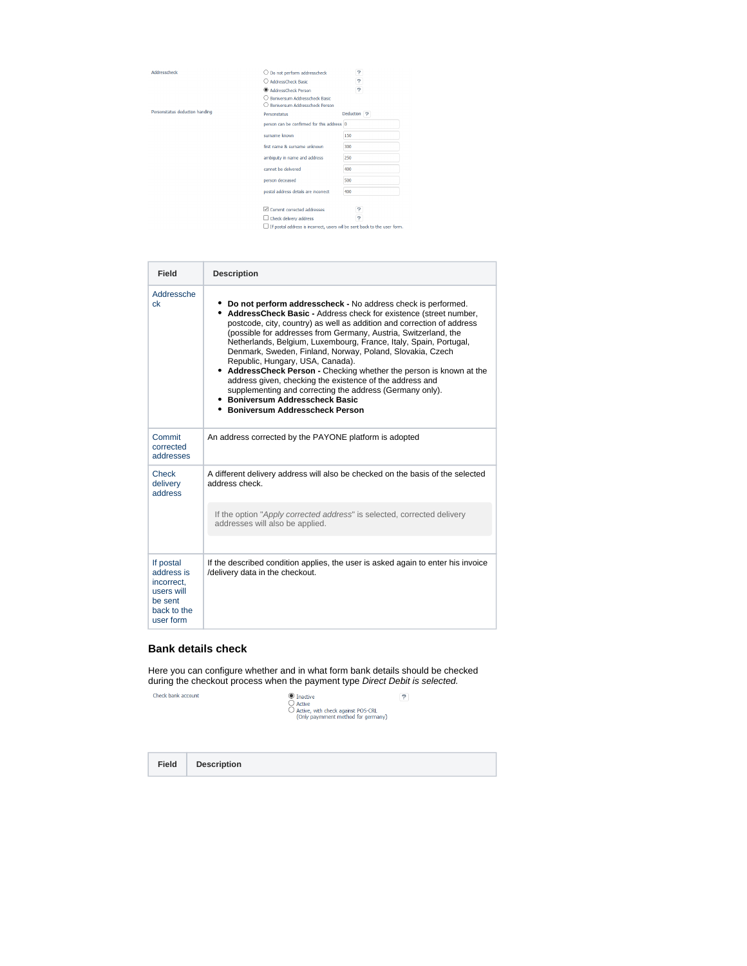Addresscheck

Personstatus deduction handing

| $\bigcirc$ Do not perform addresscheck                                   | P                      |
|--------------------------------------------------------------------------|------------------------|
| C) AddressCheck Rasic                                                    | P                      |
| <b>C</b> AddressCheck Person                                             | P                      |
| Roniversum Addresscheck Rasic                                            |                        |
| (.) Boniversum Addresscheck Person                                       |                        |
| Personstatus                                                             | Deduction <sub>2</sub> |
| person can be confirmed for this address 0                               |                        |
| surname known                                                            | 150                    |
| first name & surname unknown                                             | 300                    |
| ambiguity in name and address                                            | 250                    |
| cannot be delvered                                                       | 400                    |
| person deceased                                                          | 500                    |
| postal address details are incorrect                                     | 400                    |
|                                                                          |                        |
| Commit corrected addresses                                               | 7                      |
| Check delivery address                                                   | P                      |
| If postal address is incorrect, users wil be sent back to the user form. |                        |

| Field                                                                                      | <b>Description</b>                                                                                                                                                                                                                                                                                                                                                                                                                                                                                                                                                                                                                                                                                                                   |
|--------------------------------------------------------------------------------------------|--------------------------------------------------------------------------------------------------------------------------------------------------------------------------------------------------------------------------------------------------------------------------------------------------------------------------------------------------------------------------------------------------------------------------------------------------------------------------------------------------------------------------------------------------------------------------------------------------------------------------------------------------------------------------------------------------------------------------------------|
| Addressche<br>ck                                                                           | • Do not perform addresscheck - No address check is performed.<br>• AddressCheck Basic - Address check for existence (street number,<br>postcode, city, country) as well as addition and correction of address<br>(possible for addresses from Germany, Austria, Switzerland, the<br>Netherlands, Belgium, Luxembourg, France, Italy, Spain, Portugal,<br>Denmark, Sweden, Finland, Norway, Poland, Slovakia, Czech<br>Republic, Hungary, USA, Canada).<br>• AddressCheck Person - Checking whether the person is known at the<br>address given, checking the existence of the address and<br>supplementing and correcting the address (Germany only).<br>• Boniversum Addresscheck Basic<br><b>• Boniversum Addresscheck Person</b> |
| Commit<br>corrected<br>addresses                                                           | An address corrected by the PAYONE platform is adopted                                                                                                                                                                                                                                                                                                                                                                                                                                                                                                                                                                                                                                                                               |
| Check<br>delivery<br>address                                                               | A different delivery address will also be checked on the basis of the selected<br>address check.                                                                                                                                                                                                                                                                                                                                                                                                                                                                                                                                                                                                                                     |
|                                                                                            | If the option "Apply corrected address" is selected, corrected delivery<br>addresses will also be applied.                                                                                                                                                                                                                                                                                                                                                                                                                                                                                                                                                                                                                           |
| If postal<br>address is<br>incorrect.<br>users will<br>be sent<br>back to the<br>user form | If the described condition applies, the user is asked again to enter his invoice<br>/delivery data in the checkout.                                                                                                                                                                                                                                                                                                                                                                                                                                                                                                                                                                                                                  |

#### **Bank details check**

Here you can configure whether and in what form bank details should be checked during the checkout process when the payment type Direct Debit is selected.

Check bank account

 $\begin{array}{ll} \bigcirc \hspace{-3.5mm} \bigcirc \hspace{-3.5mm} \bigcirc \hspace{-3.5mm} \text{Inactive} \ \bigcirc \hspace{-3.5mm} \bigcirc \hspace{-3.5mm} \text{Active}, \ \bigcirc \hspace{-3.5mm} \bigcirc \hspace{-3.5mm} \text{Active}, \ \bigcirc \hspace{-3.5mm} \text{PActive}, \ \bigcirc \hspace{-3.5mm} \text{simple} \hspace{-3.5mm} \text{methed for germany} \big) \end{array}$  $\overline{P}$ 

**Field Description**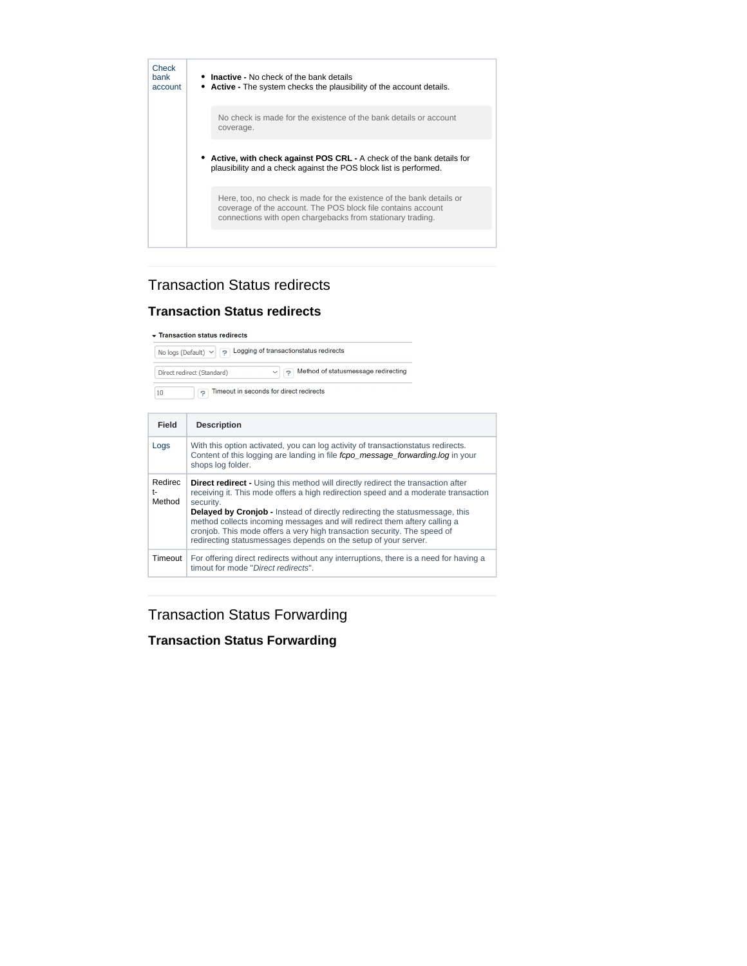

# Transaction Status redirects

### **Transaction Status redirects**

#### Transaction status redirects

No logs (Default)  $\vee$   $\boxed{?}$  Logging of transactionstatus redirects P Method of statusmessage redirecting Direct redirect (Standard) 7 Timeout in seconds for direct redirects  $10<sup>10</sup>$ 

| Field                               | <b>Description</b>                                                                                                                                                                                                                                                                                                                                                                                                                                                                                            |
|-------------------------------------|---------------------------------------------------------------------------------------------------------------------------------------------------------------------------------------------------------------------------------------------------------------------------------------------------------------------------------------------------------------------------------------------------------------------------------------------------------------------------------------------------------------|
| Logs                                | With this option activated, you can log activity of transactionstatus redirects.<br>Content of this logging are landing in file fopo message forwarding. log in your<br>shops log folder.                                                                                                                                                                                                                                                                                                                     |
| Redirec<br>$^{\dagger -}$<br>Method | <b>Direct redirect</b> - Using this method will directly redirect the transaction after<br>receiving it. This mode offers a high redirection speed and a moderate transaction<br>security.<br><b>Delayed by Cronjob - Instead of directly redirecting the statusmessage, this</b><br>method collects incoming messages and will redirect them aftery calling a<br>cronjob. This mode offers a very high transaction security. The speed of<br>redirecting statusmessages depends on the setup of your server. |
| Timeout                             | For offering direct redirects without any interruptions, there is a need for having a<br>timout for mode "Direct redirects".                                                                                                                                                                                                                                                                                                                                                                                  |

Transaction Status Forwarding

# **Transaction Status Forwarding**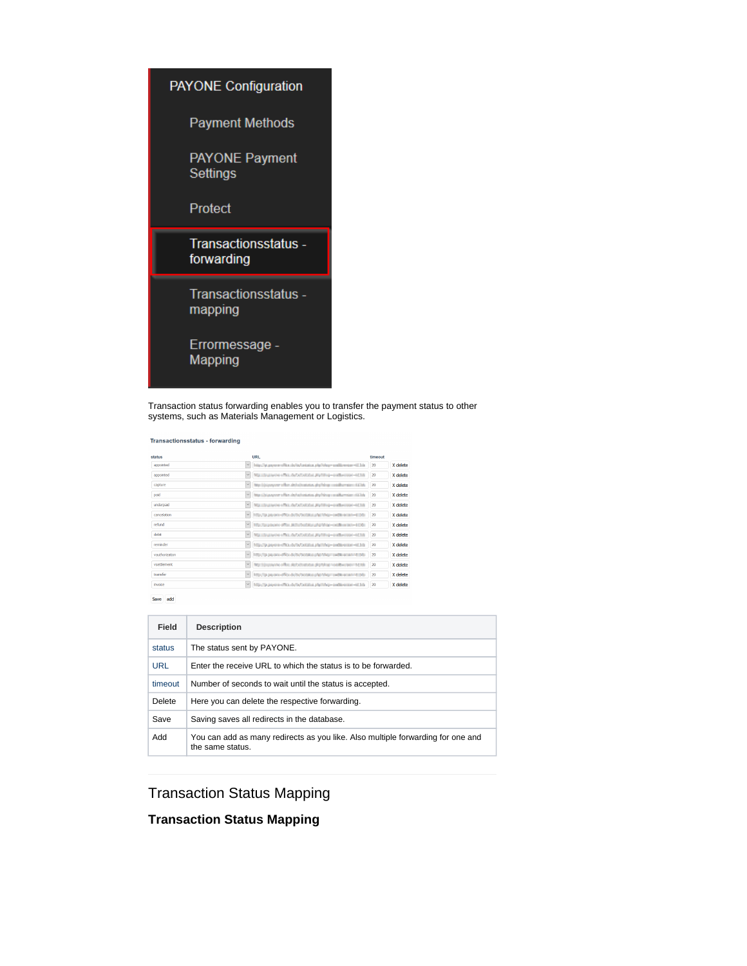

Transaction status forwarding enables you to transfer the payment status to other systems, such as Materials Management or Logistics.

Transactionsstatus - forwarding

| eutets         |              | URI                                                                 | timeout |          |
|----------------|--------------|---------------------------------------------------------------------|---------|----------|
| appointed      | $\checkmark$ | http://pt.payment@ac.in/in/ortation.php?ideg=codibirenter=02.bin    | 20      | X delete |
| appointed      | $\checkmark$ | Watchestone offer deforbation problem-emberson-4238.                | 20      | X delete |
| capture        | $\checkmark$ | No lisioner che detetopas deldo politico collectioni di la          | 20      | X delete |
| naid           | $\backsim$   | http://pi.pageor.chips.de/aphatustus.php?sin.p.co.pilkumsian.ck/.hk | 20      | X delete |
| underpaid      | $\checkmark$ | Ma slegaçõe elles de obtables publica-collective-4034               | 20      | X delete |
| cancelation    | $\checkmark$ | http://p.panen-effici-de/by/bottess.php?shap-codition.com/=02d-     | 20      | X delete |
| refund         | $\sim$       | Hip Sponsore office adherent any physical condition provided        | 20      | X delete |
| debit          | $\vee$       | Maximum on the defect state publica-induces of his                  | 20      | X delete |
| reminder       | $\checkmark$ | Mischusen discussions and the entire at 16                          | 20      | X delete |
| vauthorization | $\checkmark$ | http://p.pa.ons-dRos-br/ty/octata.phpt/vign-sedat-acan-triple       | 20      | X delete |
| vsettlement    | $\sim$       | No tipusyon official details and postup residence in table          | 20      | X delete |
| transfer       | $\checkmark$ | http://p.papers-dRos-bulty/octatos-php?shap=swdtt-econo-410-b-      | 20      | X delete |
| <b>nvoice</b>  | $\checkmark$ | Mische payment Cardy before and the conditions will be              | 20      | X delete |

 $\begin{tabular}{|c|c|} \hline \textbf{Save} & \textbf{add} \end{tabular}$ 

| Field      | <b>Description</b>                                                                                  |
|------------|-----------------------------------------------------------------------------------------------------|
| status     | The status sent by PAYONE.                                                                          |
| <b>URL</b> | Enter the receive URL to which the status is to be forwarded.                                       |
| timeout    | Number of seconds to wait until the status is accepted.                                             |
| Delete     | Here you can delete the respective forwarding.                                                      |
| Save       | Saving saves all redirects in the database.                                                         |
| Add        | You can add as many redirects as you like. Also multiple forwarding for one and<br>the same status. |

Transaction Status Mapping

### **Transaction Status Mapping**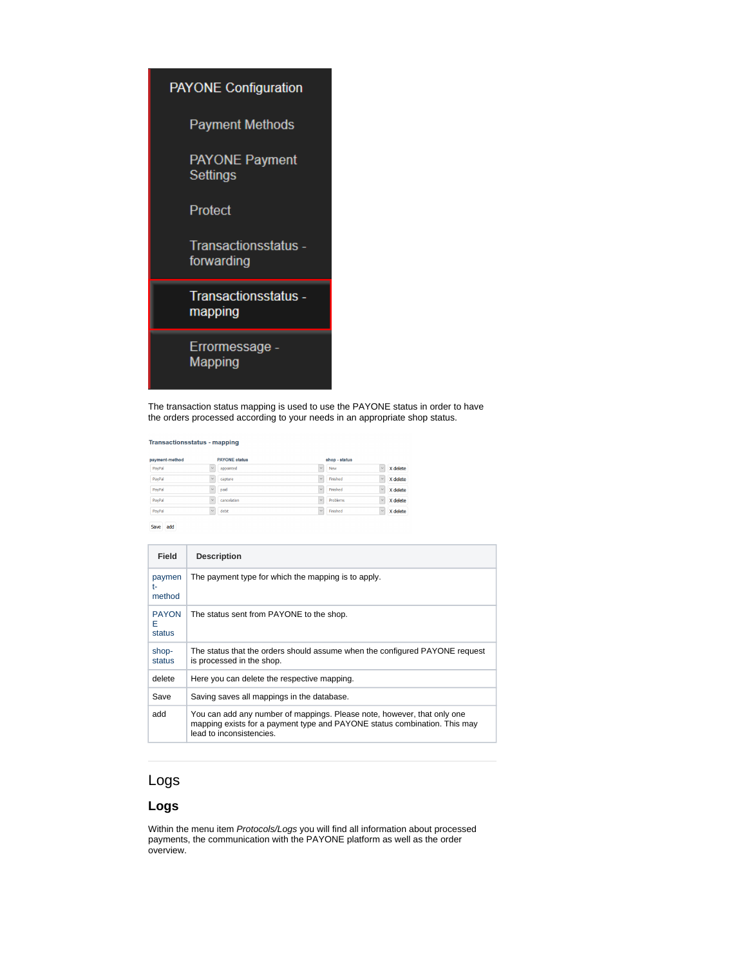

The transaction status mapping is used to use the PAYONE status in order to have the orders processed according to your needs in an appropriate shop status.

#### Transactionsstatus - mapping

| $\vee$<br>PayPal                |                                | shop - status                    |
|---------------------------------|--------------------------------|----------------------------------|
| appointed                       | $\overline{\mathbf{v}}$<br>New | кv.<br>X delete                  |
| $\vee$<br>PayPal<br>capture     | $\checkmark$<br>Finished       | $\ddot{\phantom{1}}$<br>X delete |
| $\vee$<br>PayPal<br>paid        | Finished<br>$\checkmark$       | $\ddot{\phantom{0}}$<br>X delete |
| $\vee$<br>PayPal<br>cancelation | $\ddot{}$<br>Problems          | $\vee$<br>X delete               |
| $\vee$<br>PayPal<br>debit       | Finished<br>$\vee$             | $\mathcal{A}$<br>X delete        |

Save add

| Field                       | <b>Description</b>                                                                                                                                                               |
|-----------------------------|----------------------------------------------------------------------------------------------------------------------------------------------------------------------------------|
| paymen<br>t-<br>method      | The payment type for which the mapping is to apply.                                                                                                                              |
| <b>PAYON</b><br>F<br>status | The status sent from PAYONE to the shop.                                                                                                                                         |
| shop-<br>status             | The status that the orders should assume when the configured PAYONE request<br>is processed in the shop.                                                                         |
| delete                      | Here you can delete the respective mapping.                                                                                                                                      |
| Save                        | Saving saves all mappings in the database.                                                                                                                                       |
| add                         | You can add any number of mappings. Please note, however, that only one<br>mapping exists for a payment type and PAYONE status combination. This may<br>lead to inconsistencies. |

# Logs

#### **Logs**

Within the menu item Protocols/Logs you will find all information about processed payments, the communication with the PAYONE platform as well as the order overview.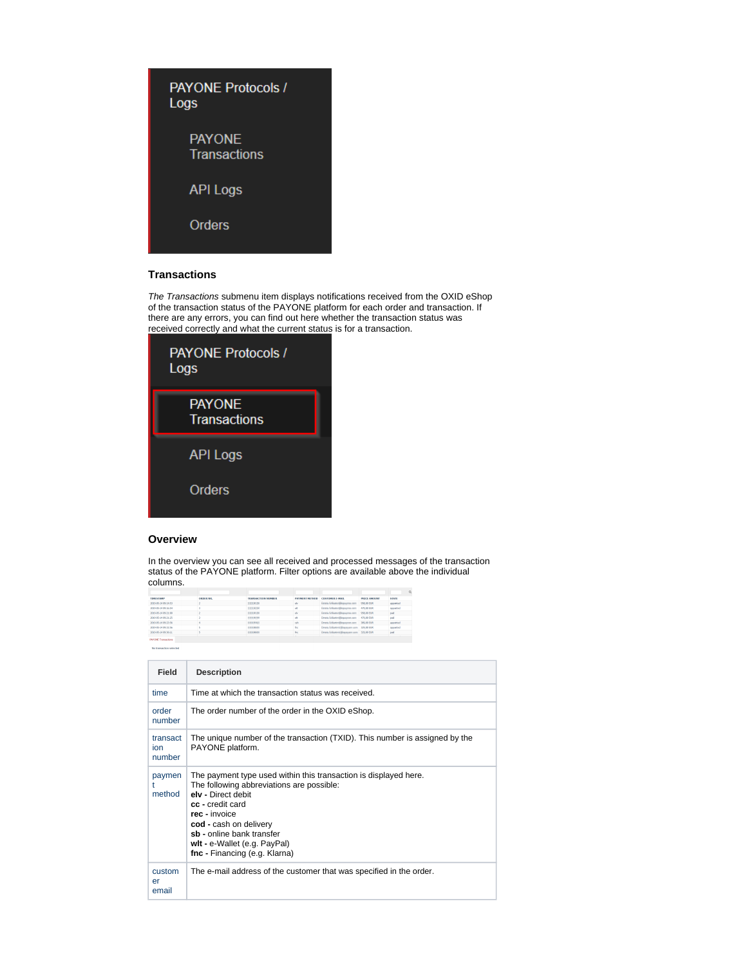| <b>PAYONE Protocols /</b><br>Logs    |  |
|--------------------------------------|--|
| <b>PAYONE</b><br><b>Transactions</b> |  |
| <b>API Logs</b>                      |  |
| Orders                               |  |
|                                      |  |

### **Transactions**

The Transactions submenu item displays notifications received from the OXID eShop of the transaction status of the PAYONE platform for each order and transaction. If there are any errors, you can find out here whether the transaction status was received correctly and what the current status is for a transaction.

| <b>PAYONE Protocols /</b><br>Logs    |
|--------------------------------------|
| <b>PAYONE</b><br><b>Transactions</b> |
| <b>API Logs</b>                      |
| Orders                               |

#### **Overview**

In the overview you can see all received and processed messages of the transaction status of the PAYONE platform. Filter options are available above the individual columns.

| <b>TIMESTAMP</b>           | ORDER NR. | <b>TRANSACTION NUMBER</b> | <b>PAYMENT METHOD</b> | <b>CUSTOMER E-MAIL</b>              | <b>PRICE ANOUNT</b> | <b>STATE</b> |
|----------------------------|-----------|---------------------------|-----------------------|-------------------------------------|---------------------|--------------|
| 2019-05-14 09:14:53        |           | 13134.04                  | w                     | Dennis Arlikans (Biographia com-    | 958.00 FUR          | appointed    |
| 2020/05/14 00:16:54        |           | 1313434                   | иł                    | Grania Schuster Elizabetria com     | 479,00 EUR          | appointed    |
| 2019-05-14 09:21:00        |           | 13134.04                  | w                     | Genela Arthurs-Africanaena com      | 958.00 EUR          | paid         |
| 2019/05/14 09:21:25        |           | 1311/4/34                 | ut                    | Dennis Schlusterditegearers care    | 479,00 EUR          | paid         |
| 2019-05-14 09:23:56        |           | <b>EULTRY</b>             | oth                   | Detects Antiqueters@languageast.com | 389.00 FUR          | appointed    |
| 2010/05/14 09:32:56        |           | 1311, 6511                | fee.                  | Dears, Johannes Maureure, ann.      | 329,00 EUR          | appointed    |
| 2019-05-14 09:36:11        |           | 13189-01                  | fre.                  | Detects Authorized Ministers and    | 229.00 FLR          | paid         |
| <b>PAYONE Transactions</b> |           |                           |                       |                                     |                     |              |

| Field                     | <b>Description</b>                                                                                                                                                                                                                                                                               |
|---------------------------|--------------------------------------------------------------------------------------------------------------------------------------------------------------------------------------------------------------------------------------------------------------------------------------------------|
| time                      | Time at which the transaction status was received                                                                                                                                                                                                                                                |
| order<br>number           | The order number of the order in the OXID eShop.                                                                                                                                                                                                                                                 |
| transact<br>ion<br>number | The unique number of the transaction (TXID). This number is assigned by the<br>PAYONE platform.                                                                                                                                                                                                  |
| paymen<br>method          | The payment type used within this transaction is displayed here.<br>The following abbreviations are possible:<br>elv - Direct debit<br>cc - credit card<br>rec - invoice<br>cod - cash on delivery<br>sb - online bank transfer<br>wit - e-Wallet (e.g. PayPal)<br>fnc - Financing (e.g. Klarna) |
| custom<br>er<br>email     | The e-mail address of the customer that was specified in the order.                                                                                                                                                                                                                              |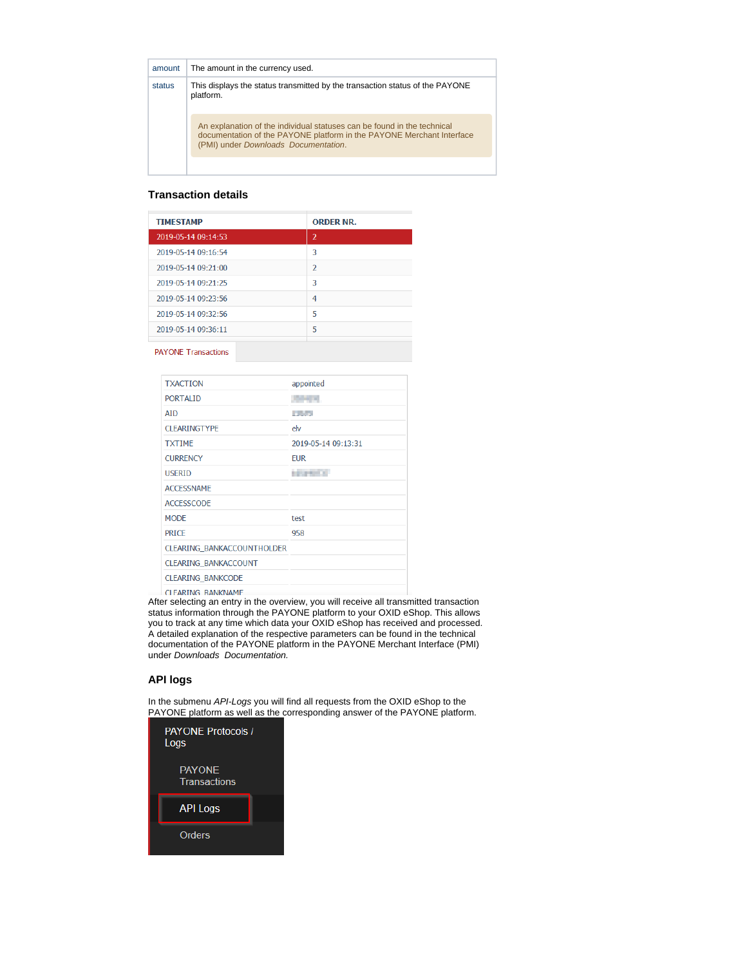| amount | The amount in the currency used.                                                                                                                                                                |
|--------|-------------------------------------------------------------------------------------------------------------------------------------------------------------------------------------------------|
| status | This displays the status transmitted by the transaction status of the PAYONE<br>platform.                                                                                                       |
|        | An explanation of the individual statuses can be found in the technical<br>documentation of the PAYONE platform in the PAYONE Merchant Interface<br>(PMI) under <i>Downloads</i> Documentation. |
|        |                                                                                                                                                                                                 |

#### **Transaction details**

| <b>TIMESTAMP</b>    | <b>ORDER NR.</b>         |
|---------------------|--------------------------|
| 2019-05-14 09:14:53 | $\overline{2}$           |
| 2019-05-14 09:16:54 | 3                        |
| 2019-05-14 09:21:00 | $\overline{\phantom{a}}$ |
| 2019-05-14 09:21:25 | ٦                        |
| 2019-05-14 09:23:56 | 4                        |
| 2019-05-14 09:32:56 | 5                        |
| 2019-05-14 09:36:11 | 5                        |
|                     |                          |

**PAYONE Transactions** 

| <b>TXACTION</b>                   | appointed              |
|-----------------------------------|------------------------|
| <b>PORTALID</b>                   | 2014/15                |
| <b>ATD</b>                        | <b>Alberta</b>         |
| <b>CLEARINGTYPE</b>               | elv                    |
| <b>TXTIME</b>                     | 2019-05-14 09:13:31    |
| <b>CURRENCY</b>                   | <b>EUR</b>             |
| <b>USERID</b>                     | <b><i>STORICAL</i></b> |
| <b>ACCESSNAME</b>                 |                        |
| <b>ACCESSCODE</b>                 |                        |
| <b>MODE</b>                       | test                   |
| <b>PRICE</b>                      | 958                    |
| <b>CLEARING BANKACCOUNTHOLDER</b> |                        |
| <b>CLEARING BANKACCOUNT</b>       |                        |
| <b>CLEARING BANKCODE</b>          |                        |
| CLEARING BANKNAME                 |                        |

After selecting an entry in the overview, you will receive all transmitted transaction status information through the PAYONE platform to your OXID eShop. This allows you to track at any time which data your OXID eShop has received and processed. A detailed explanation of the respective parameters can be found in the technical documentation of the PAYONE platform in the PAYONE Merchant Interface (PMI) under Downloads Documentation.

#### **API logs**

In the submenu API-Logs you will find all requests from the OXID eShop to the PAYONE platform as well as the corresponding answer of the PAYONE platform.

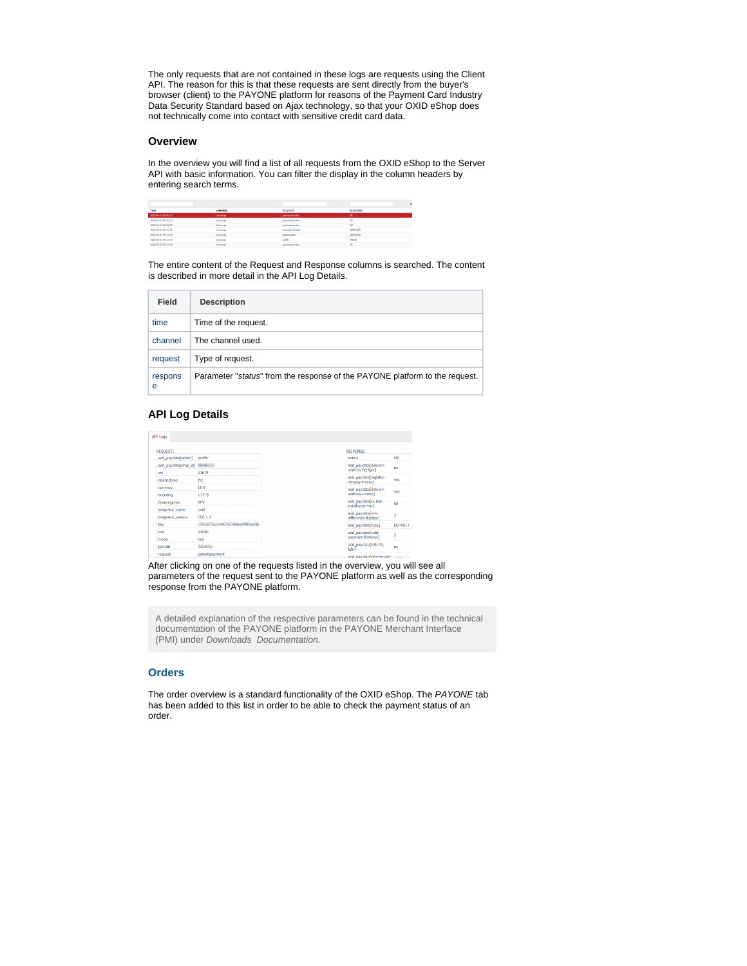The only requests that are not contained in these logs are requests using the Client API. The reason for this is that these requests are sent directly from the buyer's browser (client) to the PAYONE platform for reasons of the Payment Card Industry Data Security Standard based on Ajax technology, so that your OXID eShop does not technically come into contact with sensitive credit card data.

#### **Overview**

In the overview you will find a list of all requests from the OXID eShop to the Server API with basic information. You can filter the display in the column headers by entering search terms.

|                     |           |                        | $\circ$         |
|---------------------|-----------|------------------------|-----------------|
| TIME                | CHANNEL   | <b>REQUEST</b>         | <b>RESPONSE</b> |
| 2019/05/14 08:50:13 | Servesaoi | <i>genericalwinest</i> | <b>ok</b>       |
| 2019-05-14 08:50:12 | Serverapi | genericpayment         | <b>OK</b>       |
| 2019-05-14 08:50:16 | Serverapi | omerical yerses.       | <b>OK</b>       |
| 2019-05-14 09:12:51 | Serverant | managemendate          | <b>APPROVED</b> |
| 2019-05-14 09:13:13 | Serverapi | autorization           | <b>APPROVED</b> |
| 2019-05-14 09:13:15 | Serverant | gettle                 | <b>ERROR</b>    |
| 2019-05-14 09:13:59 | Serverapi | otherical virtuals.    | <b>OK</b>       |

The entire content of the Request and Response columns is searched. The content is described in more detail in the API Log Details.

| Field        | <b>Description</b>                                                          |
|--------------|-----------------------------------------------------------------------------|
| time         | Time of the request.                                                        |
| channel      | The channel used.                                                           |
| request      | Type of request.                                                            |
| respons<br>е | Parameter "status" from the response of the PAYONE platform to the request. |

#### **API Log Details**

| <b>API Logs</b>                       |                            |
|---------------------------------------|----------------------------|
| <b>REQUEST:</b>                       |                            |
| add_paydata[action]                   | profile                    |
|                                       |                            |
| aid<br>dearingtype                    | 23679<br>fnc               |
| currency                              | <b>EUR</b>                 |
| encoding                              | UTF-8                      |
| fnancingtype                          | <b>RPV</b>                 |
| integrator_name<br>integrator version | oxid<br>CE6.1.2            |
| kev                                   | <b>CALIFORNIA PLANNING</b> |
| mid                                   | 10,000                     |
| mode<br>portald                       | test<br><b>ANGELES</b>     |
| request                               | genericpayment             |

After clicking on one of the requests listed in the overview, you will see all parameters of the request sent to the PAYONE platform as well as the corresponding response from the PAYONE platform.

A detailed explanation of the respective parameters can be found in the technical documentation of the PAYONE platform in the PAYONE Merchant Interface (PMI) under Downloads Documentation.

#### **Orders**

The order overview is a standard functionality of the OXID eShop. The PAYONE tab has been added to this list in order to be able to check the payment status of an order.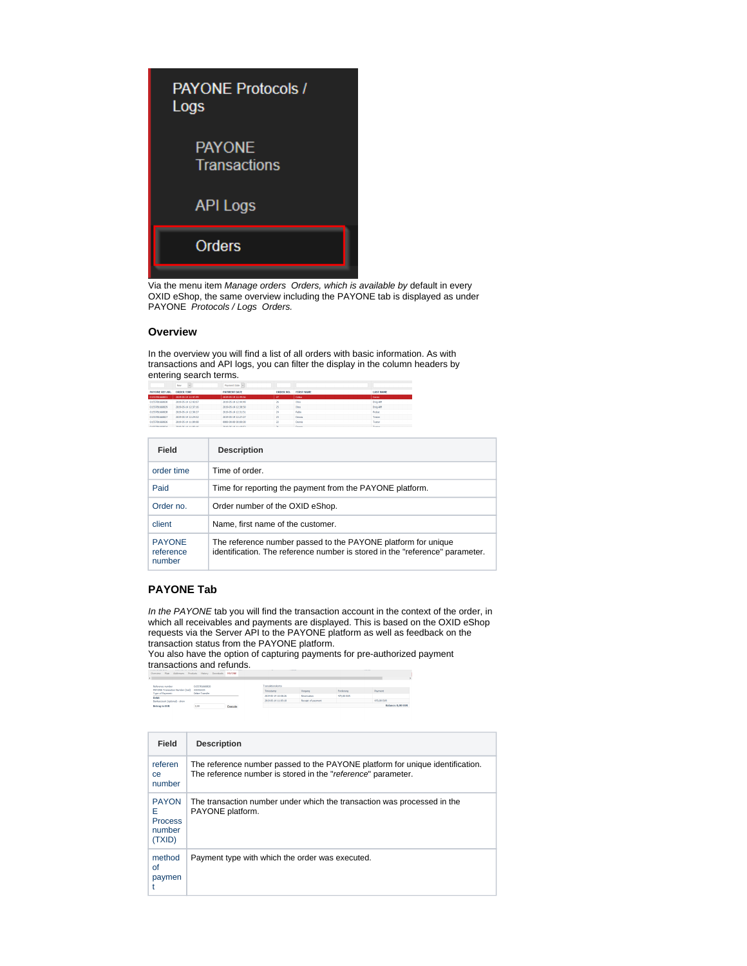

Via the menu item Manage orders Orders, which is available by default in every OXID eShop, the same overview including the PAYONE tab is displayed as under PAYONE Protocols / Logs Orders.

#### **Overview**

In the overview you will find a list of all orders with basic information. As with transactions and API logs, you can filter the display in the column headers by entering search terms.

|                        | New                 | Payment Date        |                            |                   |                  |
|------------------------|---------------------|---------------------|----------------------------|-------------------|------------------|
| <b>PAYONE REE, NR.</b> | <b>ORDER TIME</b>   | <b>PAYMENT DATE</b> | ORDER NO.                  | <b>FIRST NAME</b> | <b>LAST NAME</b> |
| 0155781660831          | 2019/05/14 12:47:49 | 2019-05-14 12:49:56 | 77                         | Celas             | Ceren            |
| 0155761660630          | 2010/05/14 12:43:07 | 2029-05-14 12:44:40 | 26                         | three             | <b>Sylo AM</b>   |
| 0155701660829          | 2019-05-14 12:37:16 | 2029-05-14 12:38:50 | 25                         | thro              | <b>Sylo AM</b>   |
| 0155701660628          | 2019-05-14 12:30:27 | 2029-05-14 12:31:51 | 24                         | Pablo             | Probet           |
| 0155701660827          | 2019-05-14 12:24:52 | 2019-05-14 12:27:27 | $\mathbf{z}$               | <b>Dennis</b>     | Tester           |
| 0155781660826          | 2010/05/14 11:00:08 | 0000-00-00-00-00-00 | $\boldsymbol{\mathsf{22}}$ | Dennis            | Tester           |
| <b>ALEXANDERS</b>      | 2010/06/14 11:06:16 | 100805-0010-002     | <b>Sec.</b>                | President         | <b>Yashire</b>   |

| Field                                | <b>Description</b>                                                                                                                            |
|--------------------------------------|-----------------------------------------------------------------------------------------------------------------------------------------------|
| order time                           | Time of order.                                                                                                                                |
| Paid                                 | Time for reporting the payment from the PAYONE platform.                                                                                      |
| Order no.                            | Order number of the OXID eShop.                                                                                                               |
| client                               | Name, first name of the customer.                                                                                                             |
| <b>PAYONE</b><br>reference<br>number | The reference number passed to the PAYONE platform for unique<br>identification. The reference number is stored in the "reference" parameter. |

#### **PAYONE Tab**

In the PAYONE tab you will find the transaction account in the context of the order, in which all receivables and payments are displayed. This is based on the OXID eShop requests via the Server API to the PAYONE platform as well as feedback on the transaction status from the PAYONE platform.

You also have the option of capturing payments for pre-authorized payment transactions and refunds.

| <b>Reference matches</b>                             | 0155781660820<br>333352225<br>Onine-Transfer |         | Transaktionskanto   |                    |            |                              |
|------------------------------------------------------|----------------------------------------------|---------|---------------------|--------------------|------------|------------------------------|
| PAYONE-Transaction Number (txid)<br>Type of Payment: |                                              |         | Tinestano           | Vorsang            | Fanderung  | <b><i><u>Fayment</u></i></b> |
| Debit                                                |                                              |         | 2019-05-14 10:58:26 | Reservation        | 479,00 EUR |                              |
| Bankaccount (estimal) - show                         |                                              |         | 2019-05-14 11:05:10 | Receipt of payment |            | 479,00 EUR                   |
| <b>Betrag in EUR</b>                                 | 0.00                                         | Execute |                     |                    |            | Ralance: 0.00 FU             |
|                                                      |                                              |         |                     |                    |            |                              |

| Field                                                   | <b>Description</b>                                                                                                                            |
|---------------------------------------------------------|-----------------------------------------------------------------------------------------------------------------------------------------------|
| referen<br><b>ce</b><br>number                          | The reference number passed to the PAYONE platform for unique identification.<br>The reference number is stored in the "reference" parameter. |
| <b>PAYON</b><br>Е<br><b>Process</b><br>number<br>(TXID) | The transaction number under which the transaction was processed in the<br>PAYONE platform.                                                   |
| method<br>of<br>paymen                                  | Payment type with which the order was executed.                                                                                               |